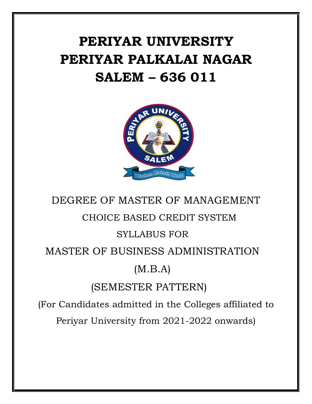# **PERIYAR UNIVERSITY PERIYAR PALKALAI NAGAR SALEM – 636 011**



# DEGREE OF MASTER OF MANAGEMENT CHOICE BASED CREDIT SYSTEM SYLLABUS FOR MASTER OF BUSINESS ADMINISTRATION (M.B.A) (SEMESTER PATTERN) (For Candidates admitted in the Colleges affiliated to

Periyar University from 2021-2022 onwards)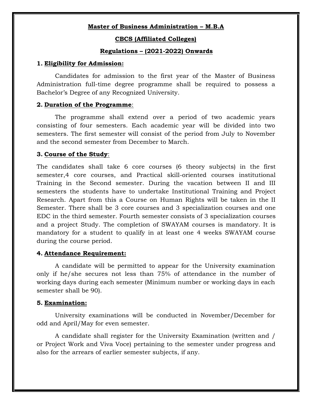## **Master of Business Administration – M.B.A**

#### **CBCS (Affiliated Colleges)**

#### **Regulations – (2021-2022) Onwards**

#### **1. Eligibility for Admission:**

Candidates for admission to the first year of the Master of Business Administration full-time degree programme shall be required to possess a Bachelor"s Degree of any Recognized University.

#### **2. Duration of the Programme**:

The programme shall extend over a period of two academic years consisting of four semesters. Each academic year will be divided into two semesters. The first semester will consist of the period from July to November and the second semester from December to March.

## **3. Course of the Study**:

The candidates shall take 6 core courses (6 theory subjects) in the first semester,4 core courses, and Practical skill-oriented courses institutional Training in the Second semester. During the vacation between II and III semesters the students have to undertake Institutional Training and Project Research. Apart from this a Course on Human Rights will be taken in the II Semester. There shall be 3 core courses and 3 specialization courses and one EDC in the third semester. Fourth semester consists of 3 specialization courses and a project Study. The completion of SWAYAM courses is mandatory. It is mandatory for a student to qualify in at least one 4 weeks SWAYAM course during the course period.

#### **4. Attendance Requirement:**

A candidate will be permitted to appear for the University examination only if he/she secures not less than 75% of attendance in the number of working days during each semester (Minimum number or working days in each semester shall be 90).

#### **5. Examination:**

University examinations will be conducted in November/December for odd and April/May for even semester.

A candidate shall register for the University Examination (written and / or Project Work and Viva Voce) pertaining to the semester under progress and also for the arrears of earlier semester subjects, if any.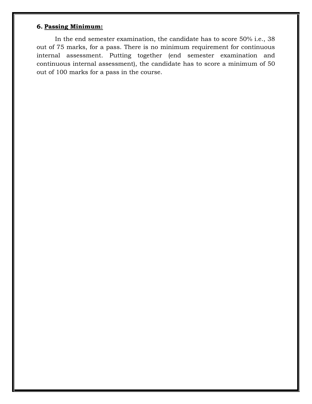# **6. Passing Minimum:**

In the end semester examination, the candidate has to score 50% i.e., 38 out of 75 marks, for a pass. There is no minimum requirement for continuous internal assessment. Putting together (end semester examination and continuous internal assessment), the candidate has to score a minimum of 50 out of 100 marks for a pass in the course.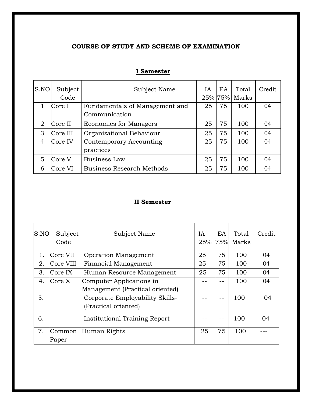# **COURSE OF STUDY AND SCHEME OF EXAMINATION**

| S.NO | Subject<br>Code | Subject Name                     | IA | EA | Total<br>25% 75% Marks | Credit |
|------|-----------------|----------------------------------|----|----|------------------------|--------|
|      | Core I          | Fundamentals of Management and   | 25 | 75 | 100                    | 04     |
|      |                 | Communication                    |    |    |                        |        |
| 2    | Core II         | <b>Economics for Managers</b>    | 25 | 75 | 100                    | 04     |
| 3    | Core III        | Organizational Behaviour         | 25 | 75 | 100                    | 04     |
| 4    | Core IV         | Contemporary Accounting          | 25 | 75 | 100                    | 04     |
|      |                 | practices                        |    |    |                        |        |
| 5    | Core V          | <b>Business Law</b>              | 25 | 75 | 100                    | 04     |
| 6    | Core VI         | <b>Business Research Methods</b> | 25 | 75 | 100                    | 04     |

# **I Semester**

# **II Semester**

| S.NO | Subject<br>Code | Subject Name                    | IA | EA | Total<br>25% 75% Marks | Credit |
|------|-----------------|---------------------------------|----|----|------------------------|--------|
|      | Core VII        | <b>Operation Management</b>     | 25 | 75 | 100                    | 04     |
| 2.   | Core VIII       | Financial Management            | 25 | 75 | 100                    | 04     |
| 3.   | Core IX         | Human Resource Management       | 25 | 75 | 100                    | 04     |
| 4.   | Core X          | Computer Applications in        |    |    | 100                    | 04     |
|      |                 | Management (Practical oriented) |    |    |                        |        |
| 5.   |                 | Corporate Employability Skills- |    |    | 100                    | 04     |
|      |                 | (Practical oriented)            |    |    |                        |        |
| 6.   |                 | Institutional Training Report   |    |    | 100                    | 04     |
| 7.   | Common          | Human Rights                    | 25 | 75 | 100                    |        |
|      | Paper           |                                 |    |    |                        |        |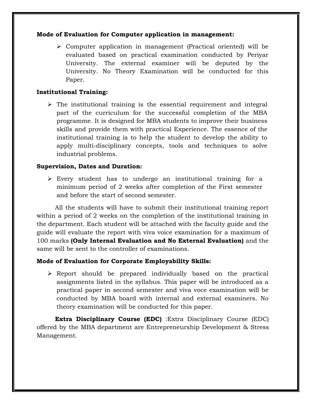## **Mode of Evaluation for Computer application in management:**

 Computer application in management (Practical oriented) will be evaluated based on practical examination conducted by Periyar University. The external examiner will be deputed by the University. No Theory Examination will be conducted for this Paper.

## **Institutional Training:**

 $\triangleright$  The institutional training is the essential requirement and integral part of the curriculum for the successful completion of the MBA programme. It is designed for MBA students to improve their business skills and provide them with practical Experience. The essence of the institutional training is to help the student to develop the ability to apply multi-disciplinary concepts, tools and techniques to solve industrial problems.

#### **Supervision, Dates and Duration:**

 $\triangleright$  Every student has to undergo an institutional training for a minimum period of 2 weeks after completion of the First semester and before the start of second semester.

All the students will have to submit their institutional training report within a period of 2 weeks on the completion of the institutional training in the department. Each student will be attached with the faculty guide and the guide will evaluate the report with viva voice examination for a maximum of 100 marks **(Only Internal Evaluation and No External Evaluation)** and the same will be sent to the controller of examinations.

#### **Mode of Evaluation for Corporate Employability Skills:**

 $\triangleright$  Report should be prepared individually based on the practical assignments listed in the syllabus. This paper will be introduced as a practical paper in second semester and viva voce examination will be conducted by MBA board with internal and external examiners. No theory examination will be conducted for this paper.

**Extra Disciplinary Course (EDC)** :Extra Disciplinary Course (EDC) offered by the MBA department are Entrepreneurship Development & Stress Management.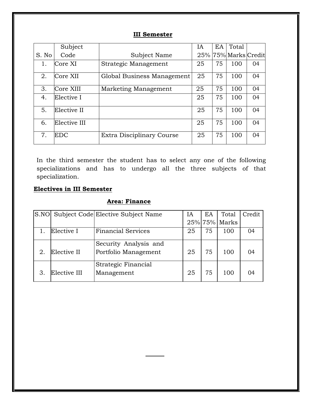# **III Semester**

|       | Subject      |                            | IΑ | EA | Total                |    |
|-------|--------------|----------------------------|----|----|----------------------|----|
| S. No | Code         | Subject Name               |    |    | 25% 75% Marks Credit |    |
| 1.    | Core XI      | Strategic Management       | 25 | 75 | 100                  | 04 |
| 2.    | Core XII     | Global Business Management | 25 | 75 | 100                  | 04 |
| 3.    | Core XIII    | Marketing Management       | 25 | 75 | 100                  | 04 |
| 4.    | Elective I   |                            | 25 | 75 | 100                  | 04 |
| 5.    | Elective II  |                            | 25 | 75 | 100                  | 04 |
| 6.    | Elective III |                            | 25 | 75 | 100                  | 04 |
| 7.    | EDC          | Extra Disciplinary Course  | 25 | 75 | 100                  | 04 |

In the third semester the student has to select any one of the following specializations and has to undergo all the three subjects of that specialization.

# **Electives in III Semester**

# **Area: Finance**

|    |              | S.NO Subject Code Elective Subject Name       | IA | EA | Total            | Credit |
|----|--------------|-----------------------------------------------|----|----|------------------|--------|
|    |              |                                               |    |    | $25\%$ 75% Marks |        |
|    | Elective I   | <b>Financial Services</b>                     | 25 | 75 | 100              | 04     |
| 2. | Elective II  | Security Analysis and<br>Portfolio Management | 25 | 75 | 100              | 04     |
|    | Elective III | Strategic Financial<br>Management             | 25 | 75 | 100              | 04     |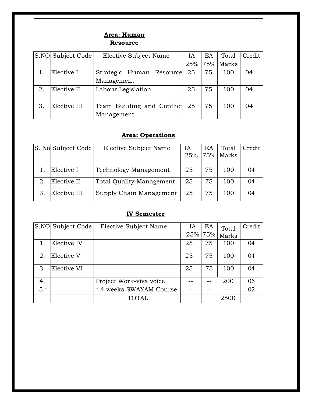# **Area: Human Resource**

|    | S.NO Subject Code | Elective Subject Name      | IA | ΕA | Total         | Credit |
|----|-------------------|----------------------------|----|----|---------------|--------|
|    |                   |                            |    |    | 25% 75% Marks |        |
|    | Elective I        | Strategic Human Resource   | 25 | 75 | 100           | 04     |
|    |                   | Management                 |    |    |               |        |
| 2. | Elective II       | Labour Legislation         | 25 | 75 | 100           | 04     |
|    |                   |                            |    |    |               |        |
| 3. | Elective III      | Team Building and Conflict | 25 | 75 | 100           | 04     |
|    |                   | Management                 |    |    |               |        |

# **Area: Operations**

|    | S. No Subject Code | Elective Subject Name           | IΑ  | EA | Total          | Credit |
|----|--------------------|---------------------------------|-----|----|----------------|--------|
|    |                    |                                 | 25% |    | $ 75\% $ Marks |        |
|    |                    |                                 |     |    |                |        |
|    | Elective I         | <b>Technology Management</b>    | 25  | 75 | 100            | 04     |
|    | Elective II        | <b>Total Quality Management</b> | 25  | 75 | 100            | 04     |
| 3. | Elective III       | Supply Chain Management         | 25  | 75 | 100            | 04     |

# **IV Semester**

|       | S.NO Subject Code | Elective Subject Name           | IA | ΕA      | Total | Credit |
|-------|-------------------|---------------------------------|----|---------|-------|--------|
|       |                   |                                 |    | 25% 75% | Marks |        |
|       | Elective IV       |                                 | 25 | 75      | 100   | 04     |
| 2.    | Elective V        |                                 | 25 | 75      | 100   | 04     |
| 3.    | Elective VI       |                                 | 25 | 75      | 100   | 04     |
| 4.    |                   | Project Work-viva voice         |    |         | 200   | 06     |
| $5.*$ |                   | 4 weeks SWAYAM Course<br>$\ast$ |    |         |       | 02     |
|       |                   | <b>TOTAL</b>                    |    |         | 2500  |        |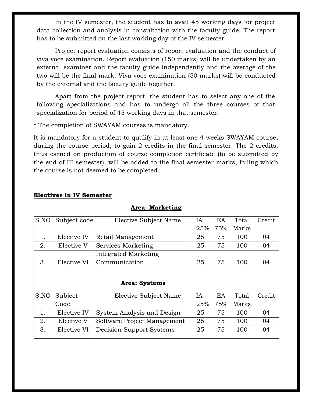In the IV semester, the student has to avail 45 working days for project data collection and analysis in consultation with the faculty guide. The report has to be submitted on the last working day of the IV semester.

Project report evaluation consists of report evaluation and the conduct of viva voce examination. Report evaluation (150 marks) will be undertaken by an external examiner and the faculty guide independently and the average of the two will be the final mark. Viva voce examination (50 marks) will be conducted by the external and the faculty guide together.

Apart from the project report, the student has to select any one of the following specializations and has to undergo all the three courses of that specialization for period of 45 working days in that semester.

\* The completion of SWAYAM courses is mandatory.

It is mandatory for a student to qualify in at least one 4 weeks SWAYAM course, during the course period, to gain 2 credits in the final semester. The 2 credits, thus earned on production of course completion certificate (to be submitted by the end of III semester), will be added to the final semester marks, failing which the course is not deemed to be completed.

| S.NO | Subject code | Elective Subject Name       | IA        | EA  | Total | Credit |
|------|--------------|-----------------------------|-----------|-----|-------|--------|
|      |              |                             | 25%       | 75% | Marks |        |
| 1.   | Elective IV  | Retail Management           | 25        | 75  | 100   | 04     |
| 2.   | Elective V   | Services Marketing          | 25        | 75  | 100   | 04     |
|      |              | Integrated Marketing        |           |     |       |        |
| 3.   | Elective VI  | Communication               | 25        | 75  | 100   | 04     |
|      |              |                             |           |     |       |        |
|      |              | Area: Systems               |           |     |       |        |
| S.NO | Subject      | Elective Subject Name       | <b>IA</b> | EA  | Total | Credit |
|      | Code         |                             | 25%       | 75% | Marks |        |
| 1.   | Elective IV  | System Analysis and Design  | 25        | 75  | 100   | 04     |
| 2.   | Elective V   | Software Project Management | 25        | 75  | 100   | 04     |
| 3.   | Elective VI  | Decision Support Systems    | 25        | 75  | 100   | 04     |

## **Electives in IV Semester**

## **Area: Marketing**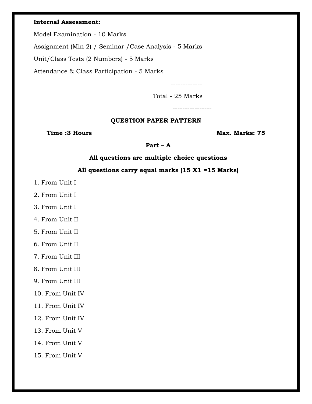#### **Internal Assessment:**

Model Examination - 10 Marks

Assignment (Min 2) / Seminar /Case Analysis - 5 Marks

Unit/Class Tests (2 Numbers) - 5 Marks

Attendance & Class Participation - 5 Marks

-------------

Total - 25 Marks

----------------

## **QUESTION PAPER PATTERN**

**Time :3 Hours Max. Marks: 75** 

**Part – A**

## **All questions are multiple choice questions**

## **All questions carry equal marks (15 X1 =15 Marks)**

- 1. From Unit I
- 2. From Unit I
- 3. From Unit I
- 4. From Unit II
- 5. From Unit II
- 6. From Unit II
- 7. From Unit III
- 8. From Unit III
- 9. From Unit III
- 10. From Unit IV
- 11. From Unit IV
- 12. From Unit IV
- 13. From Unit V
- 14. From Unit V
- 15. From Unit V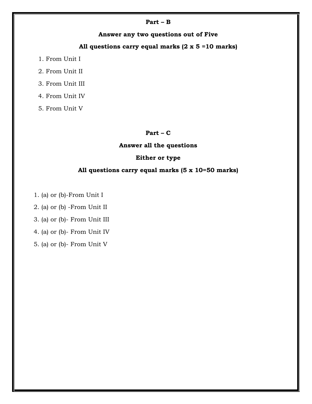#### **Part – B**

**Answer any two questions out of Five**

# **All questions carry equal marks (2 x 5 =10 marks)**

- 1. From Unit I
- 2. From Unit II
- 3. From Unit III
- 4. From Unit IV

5. From Unit V

## **Part – C**

## **Answer all the questions**

## **Either or type**

## **All questions carry equal marks (5 x 10=50 marks)**

1. (a) or (b)-From Unit I

2. (a) or (b) -From Unit II

3. (a) or (b)- From Unit III

4. (a) or (b)- From Unit IV

5. (a) or (b)- From Unit V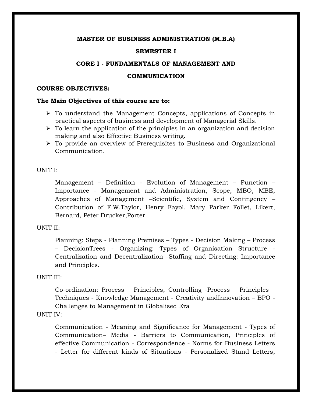#### **SEMESTER I**

#### **CORE I - FUNDAMENTALS OF MANAGEMENT AND**

#### **COMMUNICATION**

#### **COURSE OBJECTIVES:**

#### **The Main Objectives of this course are to:**

- $\triangleright$  To understand the Management Concepts, applications of Concepts in practical aspects of business and development of Managerial Skills.
- $\triangleright$  To learn the application of the principles in an organization and decision making and also Effective Business writing.
- $\triangleright$  To provide an overview of Prerequisites to Business and Organizational Communication.

#### UNIT I:

Management – Definition - Evolution of Management – Function – Importance - Management and Administration, Scope, MBO, MBE, Approaches of Management –Scientific, System and Contingency – Contribution of F.W.Taylor, Henry Fayol, Mary Parker Follet, Likert, Bernard, Peter Drucker,Porter.

#### UNIT II:

Planning: Steps - Planning Premises – Types - Decision Making – Process – DecisionTrees - Organizing: Types of Organisation Structure - Centralization and Decentralization -Staffing and Directing: Importance and Principles.

## UNIT III:

Co-ordination: Process – Principles, Controlling -Process – Principles – Techniques - Knowledge Management - Creativity andInnovation – BPO - Challenges to Management in Globalised Era

## UNIT IV:

Communication - Meaning and Significance for Management - Types of Communication– Media - Barriers to Communication, Principles of effective Communication - Correspondence - Norms for Business Letters - Letter for different kinds of Situations - Personalized Stand Letters,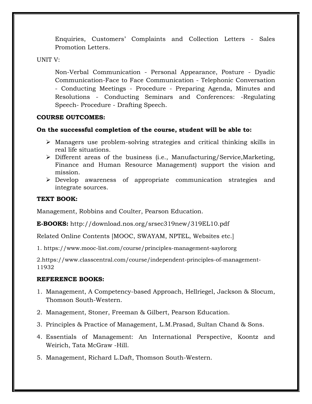Enquiries, Customers" Complaints and Collection Letters - Sales Promotion Letters.

## UNIT V:

Non-Verbal Communication - Personal Appearance, Posture - Dyadic Communication-Face to Face Communication - Telephonic Conversation - Conducting Meetings - Procedure - Preparing Agenda, Minutes and Resolutions - Conducting Seminars and Conferences: -Regulating Speech- Procedure - Drafting Speech.

## **COURSE OUTCOMES:**

# **On the successful completion of the course, student will be able to:**

- Managers use problem-solving strategies and critical thinking skills in real life situations.
- Different areas of the business (i.e., Manufacturing/Service,Marketing, Finance and Human Resource Management) support the vision and mission.
- Develop awareness of appropriate communication strategies and integrate sources.

## **TEXT BOOK:**

Management, Robbins and Coulter, Pearson Education.

**E-BOOKS:** http://download.nos.org/srsec319new/319EL10.pdf

Related Online Contents [MOOC, SWAYAM, NPTEL, Websites etc.]

1. https://www.mooc-list.com/course/principles-management-saylororg

2.https://www.classcentral.com/course/independent-principles-of-management-11932

- 1. Management, A Competency-based Approach, Hellriegel, Jackson & Slocum, Thomson South-Western.
- 2. Management, Stoner, Freeman & Gilbert, Pearson Education.
- 3. Principles & Practice of Management, L.M.Prasad, Sultan Chand & Sons.
- 4. Essentials of Management: An International Perspective, Koontz and Weirich, Tata McGraw -Hill.
- 5. Management, Richard L.Daft, Thomson South-Western.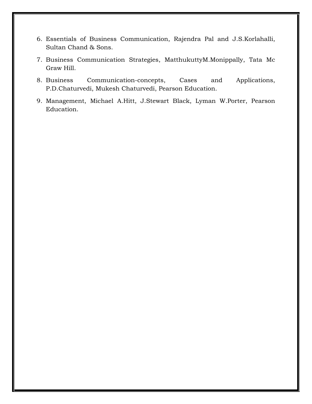- 6. Essentials of Business Communication, Rajendra Pal and J.S.Korlahalli, Sultan Chand & Sons.
- 7. Business Communication Strategies, MatthukuttyM.Monippally, Tata Mc Graw Hill.
- 8. Business Communication-concepts, Cases and Applications, P.D.Chaturvedi, Mukesh Chaturvedi, Pearson Education.
- 9. Management, Michael A.Hitt, J.Stewart Black, Lyman W.Porter, Pearson Education.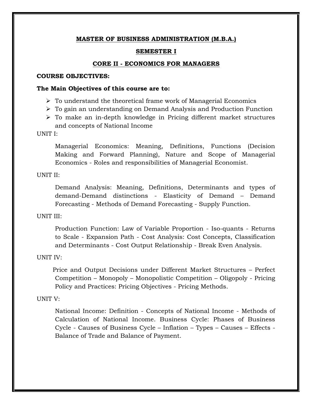### **SEMESTER I**

#### **CORE II - ECONOMICS FOR MANAGERS**

#### **COURSE OBJECTIVES:**

#### **The Main Objectives of this course are to:**

- $\triangleright$  To understand the theoretical frame work of Managerial Economics
- To gain an understanding on Demand Analysis and Production Function
- $\triangleright$  To make an in-depth knowledge in Pricing different market structures and concepts of National Income

UNIT I:

Managerial Economics: Meaning, Definitions, Functions (Decision Making and Forward Planning), Nature and Scope of Managerial Economics - Roles and responsibilities of Managerial Economist.

### UNIT II:

Demand Analysis: Meaning, Definitions, Determinants and types of demand-Demand distinctions - Elasticity of Demand – Demand Forecasting - Methods of Demand Forecasting - Supply Function.

#### UNIT III:

Production Function: Law of Variable Proportion - Iso-quants - Returns to Scale - Expansion Path - Cost Analysis: Cost Concepts, Classification and Determinants - Cost Output Relationship - Break Even Analysis.

#### UNIT IV:

Price and Output Decisions under Different Market Structures – Perfect Competition – Monopoly – Monopolistic Competition – Oligopoly - Pricing Policy and Practices: Pricing Objectives - Pricing Methods.

#### UNIT V:

National Income: Definition - Concepts of National Income - Methods of Calculation of National Income. Business Cycle: Phases of Business Cycle - Causes of Business Cycle – Inflation – Types – Causes – Effects - Balance of Trade and Balance of Payment.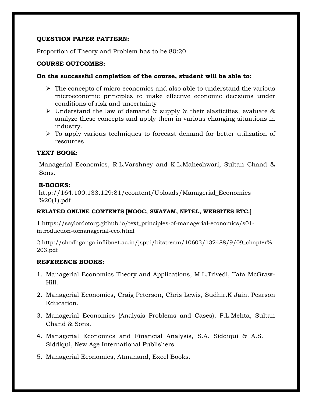# **QUESTION PAPER PATTERN:**

Proportion of Theory and Problem has to be 80:20

## **COURSE OUTCOMES:**

## **On the successful completion of the course, student will be able to:**

- $\triangleright$  The concepts of micro economics and also able to understand the various microeconomic principles to make effective economic decisions under conditions of risk and uncertainty
- $\triangleright$  Understand the law of demand & supply & their elasticities, evaluate & analyze these concepts and apply them in various changing situations in industry.
- $\triangleright$  To apply various techniques to forecast demand for better utilization of resources

# **TEXT BOOK:**

Managerial Economics, R.L.Varshney and K.L.Maheshwari, Sultan Chand & Sons.

## **E-BOOKS:**

http://164.100.133.129:81/econtent/Uploads/Managerial\_Economics  $%20(1).pdf$ 

# **RELATED ONLINE CONTENTS [MOOC, SWAYAM, NPTEL, WEBSITES ETC.]**

1.https://saylordotorg.github.io/text\_principles-of-managerial-economics/s01 introduction-tomanagerial-eco.html

2.http://shodhganga.inflibnet.ac.in/jspui/bitstream/10603/132488/9/09\_chapter% 203.pdf

- 1. Managerial Economics Theory and Applications, M.L.Trivedi, Tata McGraw-Hill.
- 2. Managerial Economics, Craig Peterson, Chris Lewis, Sudhir.K Jain, Pearson Education.
- 3. Managerial Economics (Analysis Problems and Cases), P.L.Mehta, Sultan Chand & Sons.
- 4. Managerial Economics and Financial Analysis, S.A. Siddiqui & A.S. Siddiqui, New Age International Publishers.
- 5. Managerial Economics, Atmanand, Excel Books.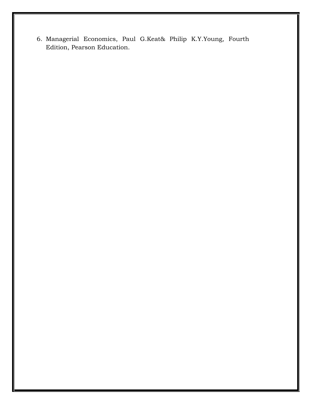6. Managerial Economics, Paul G.Keat& Philip K.Y.Young, Fourth Edition, Pearson Education.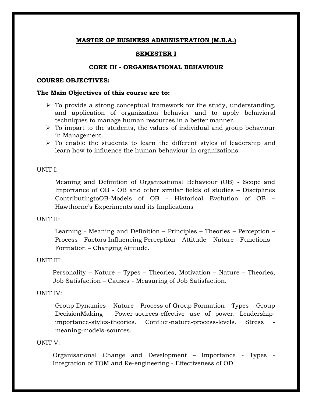## **SEMESTER I**

# **CORE III - ORGANISATIONAL BEHAVIOUR**

## **COURSE OBJECTIVES:**

## **The Main Objectives of this course are to:**

- $\triangleright$  To provide a strong conceptual framework for the study, understanding, and application of organization behavior and to apply behavioral techniques to manage human resources in a better manner.
- $\triangleright$  To impart to the students, the values of individual and group behaviour in Management.
- $\triangleright$  To enable the students to learn the different styles of leadership and learn how to influence the human behaviour in organizations.

## UNIT I:

Meaning and Definition of Organisational Behaviour (OB) - Scope and Importance of OB - OB and other similar fields of studies – Disciplines ContributingtoOB-Models of OB - Historical Evolution of OB – Hawthorne"s Experiments and its Implications

## UNIT II:

Learning - Meaning and Definition – Principles – Theories – Perception – Process - Factors Influencing Perception – Attitude – Nature - Functions – Formation – Changing Attitude.

## UNIT III:

Personality – Nature – Types – Theories, Motivation – Nature – Theories, Job Satisfaction – Causes - Measuring of Job Satisfaction.

## UNIT IV:

Group Dynamics – Nature - Process of Group Formation - Types – Group DecisionMaking - Power-sources-effective use of power. Leadershipimportance-styles-theories. Conflict-nature-process-levels. Stress meaning-models-sources.

#### UNIT V:

Organisational Change and Development – Importance - Types - Integration of TQM and Re-engineering - Effectiveness of OD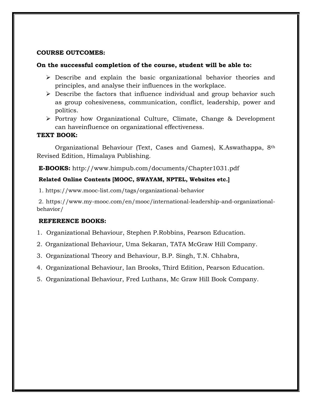## **COURSE OUTCOMES:**

## **On the successful completion of the course, student will be able to:**

- Describe and explain the basic organizational behavior theories and principles, and analyse their influences in the workplace.
- $\triangleright$  Describe the factors that influence individual and group behavior such as group cohesiveness, communication, conflict, leadership, power and politics.
- Portray how Organizational Culture, Climate, Change & Development can haveinfluence on organizational effectiveness.

## **TEXT BOOK:**

Organizational Behaviour (Text, Cases and Games), K.Aswathappa, 8th Revised Edition, Himalaya Publishing.

**E-BOOKS:** http://www.himpub.com/documents/Chapter1031.pdf

## **Related Online Contents [MOOC, SWAYAM, NPTEL, Websites etc.]**

1. https://www.mooc-list.com/tags/organizational-behavior

2. https://www.my-mooc.com/en/mooc/international-leadership-and-organizationalbehavior/

- 1. Organizational Behaviour, Stephen P.Robbins, Pearson Education.
- 2. Organizational Behaviour, Uma Sekaran, TATA McGraw Hill Company.
- 3. Organizational Theory and Behaviour, B.P. Singh, T.N. Chhabra,
- 4. Organizational Behaviour, Ian Brooks, Third Edition, Pearson Education.
- 5. Organizational Behaviour, Fred Luthans, Mc Graw Hill Book Company.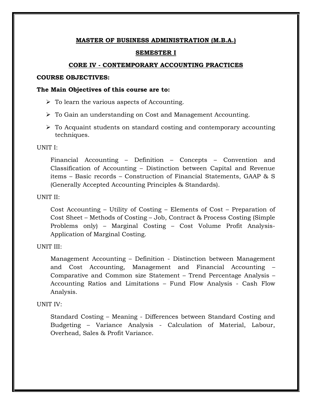#### **SEMESTER I**

#### **CORE IV - CONTEMPORARY ACCOUNTING PRACTICES**

## **COURSE OBJECTIVES:**

#### **The Main Objectives of this course are to:**

- $\triangleright$  To learn the various aspects of Accounting.
- To Gain an understanding on Cost and Management Accounting.
- $\triangleright$  To Acquaint students on standard costing and contemporary accounting techniques.

#### UNIT I:

Financial Accounting – Definition – Concepts – Convention and Classification of Accounting – Distinction between Capital and Revenue items – Basic records – Construction of Financial Statements, GAAP & S (Generally Accepted Accounting Principles & Standards).

#### UNIT II:

Cost Accounting – Utility of Costing – Elements of Cost – Preparation of Cost Sheet – Methods of Costing – Job, Contract & Process Costing (Simple Problems only) – Marginal Costing – Cost Volume Profit Analysis-Application of Marginal Costing.

#### UNIT III:

Management Accounting – Definition - Distinction between Management and Cost Accounting, Management and Financial Accounting – Comparative and Common size Statement – Trend Percentage Analysis – Accounting Ratios and Limitations – Fund Flow Analysis - Cash Flow Analysis.

### UNIT IV:

Standard Costing – Meaning - Differences between Standard Costing and Budgeting – Variance Analysis - Calculation of Material, Labour, Overhead, Sales & Profit Variance.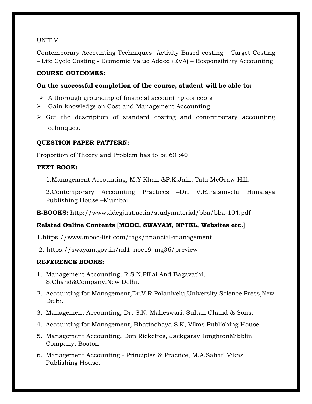# UNIT V:

Contemporary Accounting Techniques: Activity Based costing – Target Costing – Life Cycle Costing - Economic Value Added (EVA) – Responsibility Accounting.

# **COURSE OUTCOMES:**

# **On the successful completion of the course, student will be able to:**

- $\triangleright$  A thorough grounding of financial accounting concepts
- Gain knowledge on Cost and Management Accounting
- $\triangleright$  Get the description of standard costing and contemporary accounting techniques.

## **QUESTION PAPER PATTERN:**

Proportion of Theory and Problem has to be 60 :40

## **TEXT BOOK:**

1.Management Accounting, M.Y Khan &P.K.Jain, Tata McGraw-Hill.

2.Contemporary Accounting Practices –Dr. V.R.Palanivelu Himalaya Publishing House –Mumbai.

**E-BOOKS:** http://www.ddegjust.ac.in/studymaterial/bba/bba-104.pdf

# **Related Online Contents [MOOC, SWAYAM, NPTEL, Websites etc.]**

1.https://www.mooc-list.com/tags/financial-management

2. https://swayam.gov.in/nd1\_noc19\_mg36/preview

- 1. Management Accounting, R.S.N.Pillai And Bagavathi, S.Chand&Company.New Delhi.
- 2. Accounting for Management,Dr.V.R.Palanivelu,University Science Press,New Delhi.
- 3. Management Accounting, Dr. S.N. Maheswari, Sultan Chand & Sons.
- 4. Accounting for Management, Bhattachaya S.K, Vikas Publishing House.
- 5. Management Accounting, Don Rickettes, JackgarayHonghtonMibblin Company, Boston.
- 6. Management Accounting Principles & Practice, M.A.Sahaf, Vikas Publishing House.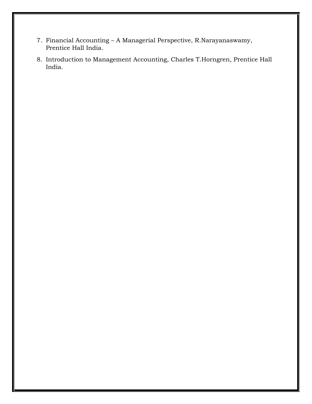- 7. Financial Accounting A Managerial Perspective, R.Narayanaswamy, Prentice Hall India.
- 8. Introduction to Management Accounting, Charles T.Horngren, Prentice Hall India.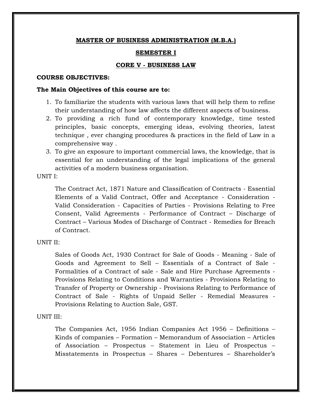## **SEMESTER I**

## **CORE V - BUSINESS LAW**

#### **COURSE OBJECTIVES:**

#### **The Main Objectives of this course are to:**

- 1. To familiarize the students with various laws that will help them to refine their understanding of how law affects the different aspects of business.
- 2. To providing a rich fund of contemporary knowledge, time tested principles, basic concepts, emerging ideas, evolving theories, latest technique , ever changing procedures & practices in the field of Law in a comprehensive way .
- 3. To give an exposure to important commercial laws, the knowledge, that is essential for an understanding of the legal implications of the general activities of a modern business organisation.

UNIT I:

The Contract Act, 1871 Nature and Classification of Contracts - Essential Elements of a Valid Contract, Offer and Acceptance - Consideration - Valid Consideration - Capacities of Parties - Provisions Relating to Free Consent, Valid Agreements - Performance of Contract – Discharge of Contract – Various Modes of Discharge of Contract - Remedies for Breach of Contract.

### UNIT II:

Sales of Goods Act, 1930 Contract for Sale of Goods - Meaning - Sale of Goods and Agreement to Sell – Essentials of a Contract of Sale - Formalities of a Contract of sale - Sale and Hire Purchase Agreements - Provisions Relating to Conditions and Warranties - Provisions Relating to Transfer of Property or Ownership - Provisions Relating to Performance of Contract of Sale - Rights of Unpaid Seller - Remedial Measures - Provisions Relating to Auction Sale, GST.

#### UNIT III:

The Companies Act, 1956 Indian Companies Act 1956 – Definitions – Kinds of companies – Formation – Memorandum of Association – Articles of Association – Prospectus – Statement in Lieu of Prospectus – Misstatements in Prospectus – Shares – Debentures – Shareholder"s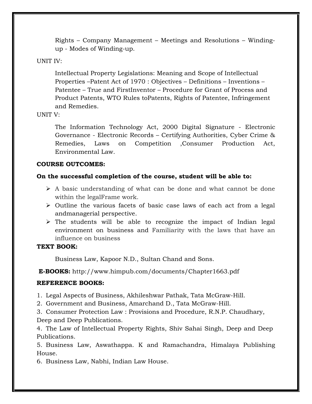Rights – Company Management – Meetings and Resolutions – Windingup - Modes of Winding-up.

## UNIT IV:

Intellectual Property Legislations: Meaning and Scope of Intellectual Properties –Patent Act of 1970 : Objectives – Definitions – Inventions – Patentee – True and FirstInventor – Procedure for Grant of Process and Product Patents, WTO Rules toPatents, Rights of Patentee, Infringement and Remedies.

## UNIT V:

The Information Technology Act, 2000 Digital Signature - Electronic Governance - Electronic Records – Certifying Authorities, Cyber Crime & Remedies, Laws on Competition ,Consumer Production Act, Environmental Law.

## **COURSE OUTCOMES:**

# **On the successful completion of the course, student will be able to:**

- $\triangleright$  A basic understanding of what can be done and what cannot be done within the legalFrame work.
- $\triangleright$  Outline the various facets of basic case laws of each act from a legal andmanagerial perspective.
- $\triangleright$  The students will be able to recognize the impact of Indian legal environment on business and Familiarity with the laws that have an influence on business

## **TEXT BOOK:**

Business Law, Kapoor N.D., Sultan Chand and Sons.

**E-BOOKS:** http://www.himpub.com/documents/Chapter1663.pdf

# **REFERENCE BOOKS:**

1. Legal Aspects of Business, Akhileshwar Pathak, Tata McGraw-Hill.

2. Government and Business, Amarchand D., Tata McGraw-Hill.

3. Consumer Protection Law : Provisions and Procedure, R.N.P. Chaudhary, Deep and Deep Publications.

4. The Law of Intellectual Property Rights, Shiv Sahai Singh, Deep and Deep Publications.

5. Business Law, Aswathappa. K and Ramachandra, Himalaya Publishing House.

6. Business Law, Nabhi, Indian Law House.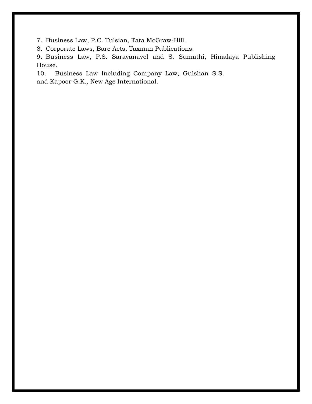7. Business Law, P.C. Tulsian, Tata McGraw-Hill.

8. Corporate Laws, Bare Acts, Taxman Publications.

9. Business Law, P.S. Saravanavel and S. Sumathi, Himalaya Publishing House.

10. Business Law Including Company Law, Gulshan S.S. and Kapoor G.K., New Age International.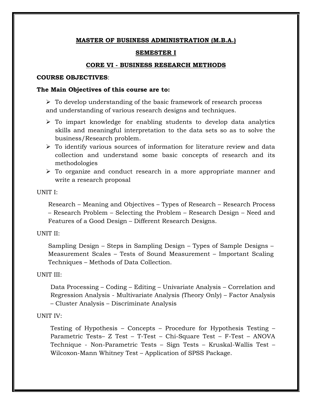## **SEMESTER I**

## **CORE VI - BUSINESS RESEARCH METHODS**

#### **COURSE OBJECTIVES**:

#### **The Main Objectives of this course are to:**

 $\triangleright$  To develop understanding of the basic framework of research process and understanding of various research designs and techniques.

- $\triangleright$  To impart knowledge for enabling students to develop data analytics skills and meaningful interpretation to the data sets so as to solve the business/Research problem.
- $\triangleright$  To identify various sources of information for literature review and data collection and understand some basic concepts of research and its methodologies
- To organize and conduct research in a more appropriate manner and write a research proposal

#### UNIT I:

Research – Meaning and Objectives – Types of Research – Research Process – Research Problem – Selecting the Problem – Research Design – Need and Features of a Good Design – Different Research Designs.

#### UNIT II:

Sampling Design – Steps in Sampling Design – Types of Sample Designs – Measurement Scales – Tests of Sound Measurement – Important Scaling Techniques – Methods of Data Collection.

#### UNIT III:

Data Processing – Coding – Editing – Univariate Analysis – Correlation and Regression Analysis - Multivariate Analysis (Theory Only) – Factor Analysis – Cluster Analysis – Discriminate Analysis

#### UNIT IV:

Testing of Hypothesis – Concepts – Procedure for Hypothesis Testing – Parametric Tests– Z Test – T-Test – Chi-Square Test – F-Test – ANOVA Technique - Non-Parametric Tests – Sign Tests – Kruskal-Wallis Test – Wilcoxon-Mann Whitney Test – Application of SPSS Package.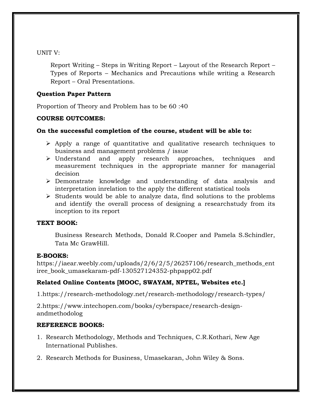## UNIT V:

Report Writing – Steps in Writing Report – Layout of the Research Report – Types of Reports – Mechanics and Precautions while writing a Research Report – Oral Presentations.

# **Question Paper Pattern**

Proportion of Theory and Problem has to be 60 :40

# **COURSE OUTCOMES:**

# **On the successful completion of the course, student will be able to:**

- $\triangleright$  Apply a range of quantitative and qualitative research techniques to business and management problems / issue
- Understand and apply research approaches, techniques and measurement techniques in the appropriate manner for managerial decision
- Demonstrate knowledge and understanding of data analysis and interpretation inrelation to the apply the different statistical tools
- $\triangleright$  Students would be able to analyze data, find solutions to the problems and identify the overall process of designing a researchstudy from its inception to its report

## **TEXT BOOK:**

Business Research Methods, Donald R.Cooper and Pamela S.Schindler, Tata Mc GrawHill.

# **E-BOOKS:**

https://iaear.weebly.com/uploads/2/6/2/5/26257106/research\_methods\_ent iree\_book\_umasekaram-pdf-130527124352-phpapp02.pdf

# **Related Online Contents [MOOC, SWAYAM, NPTEL, Websites etc.]**

1.https://research-methodology.net/research-methodology/research-types/

2.https://www.intechopen.com/books/cyberspace/research-designandmethodolog

- 1. Research Methodology, Methods and Techniques, C.R.Kothari, New Age International Publishes.
- 2. Research Methods for Business, Umasekaran, John Wiley & Sons.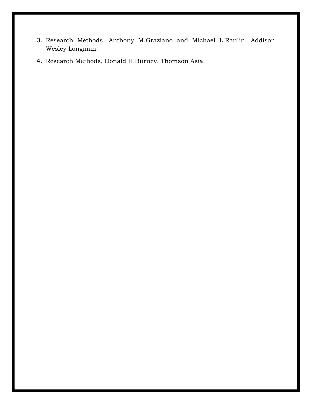- 3. Research Methods, Anthony M.Graziano and Michael L.Raulin, Addison Wesley Longman.
- 4. Research Methods, Donald H.Burney, Thomson Asia.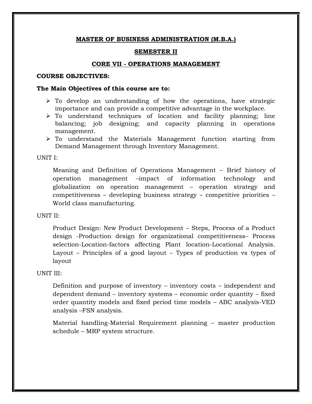#### **SEMESTER II**

#### **CORE VII - OPERATIONS MANAGEMENT**

#### **COURSE OBJECTIVES:**

#### **The Main Objectives of this course are to:**

- $\triangleright$  To develop an understanding of how the operations, have strategic importance and can provide a competitive advantage in the workplace.
- $\triangleright$  To understand techniques of location and facility planning; line balancing; job designing; and capacity planning in operations management.
- $\triangleright$  To understand the Materials Management function starting from Demand Management through Inventory Management.

#### UNIT I:

Meaning and Definition of Operations Management – Brief history of operation management –impact of information technology and globalization on operation management – operation strategy and competitiveness – developing business strategy – competitive priorities – World class manufacturing.

#### UNIT II:

Product Design: New Product Development – Steps, Process of a Product design -Production design for organizational competitiveness– Process selection-Location-factors affecting Plant location-Locational Analysis. Layout – Principles of a good layout – Types of production vs types of layout

#### UNIT III:

Definition and purpose of inventory – inventory costs – independent and dependent demand – inventory systems – economic order quantity – fixed order quantity models and fixed period time models – ABC analysis-VED analysis –FSN analysis.

Material handling-Material Requirement planning – master production schedule – MRP system structure.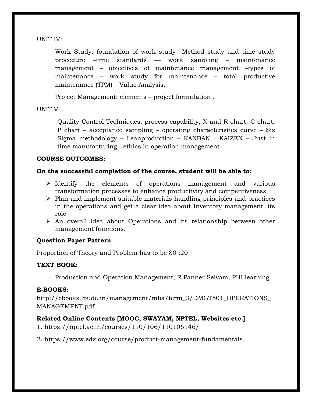UNIT IV:

Work Study: foundation of work study –Method study and time study procedure –time standards –– work sampling – maintenance management – objectives of maintenance management –types of maintenance – work study for maintenance – total productive maintenance (TPM) – Value Analysis.

Project Management: elements – project formulation .

## UNIT V:

Quality Control Techniques: process capability, X and R chart, C chart, P chart – acceptance sampling – operating characteristics curve – Six Sigma methodology – Leanproduction – KANBAN - KAIZEN – Just in time manufacturing - ethics in operation management.

# **COURSE OUTCOMES:**

# **On the successful completion of the course, student will be able to:**

- $\triangleright$  Identify the elements of operations management and various transformation processes to enhance productivity and competitiveness.
- $\triangleright$  Plan and implement suitable materials handling principles and practices in the operations and get a clear idea about Inventory management, its role
- $\triangleright$  An overall idea about Operations and its relationship between other management functions.

# **Question Paper Pattern**

Proportion of Theory and Problem has to be 80 :20

# **TEXT BOOK:**

Production and Operation Management, R.Panner Selvam, PHI learning.

# **E-BOOKS:**

http://ebooks.lpude.in/management/mba/term\_3/DMGT501\_OPERATIONS\_ MANAGEMENT.pdf

# **Related Online Contents [MOOC, SWAYAM, NPTEL, Websites etc.]**

- 1. https://nptel.ac.in/courses/110/106/110106146/
- 2. https://www.edx.org/course/product-management-fundamentals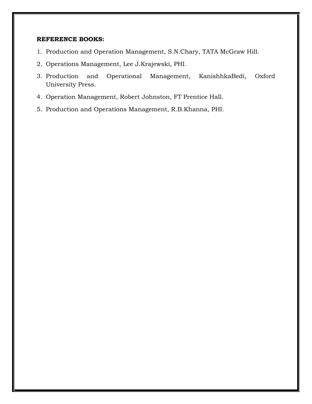- 1. Production and Operation Management, S.N.Chary, TATA McGraw Hill.
- 2. Operations Management, Lee J.Krajewski, PHI.
- 3. Production and Operational Management, KanishhkaBedi, Oxford University Press.
- 4. Operation Management, Robert Johnston, FT Prentice Hall.
- 5. Production and Operations Management, R.B.Khanna, PHI.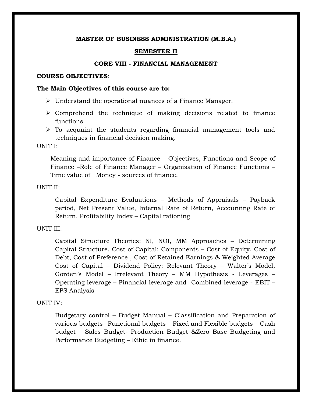#### **SEMESTER II**

#### **CORE VIII - FINANCIAL MANAGEMENT**

#### **COURSE OBJECTIVES**:

#### **The Main Objectives of this course are to:**

- $\triangleright$  Understand the operational nuances of a Finance Manager.
- $\triangleright$  Comprehend the technique of making decisions related to finance functions.
- $\triangleright$  To acquaint the students regarding financial management tools and techniques in financial decision making.

UNIT I:

Meaning and importance of Finance – Objectives, Functions and Scope of Finance –Role of Finance Manager – Organisation of Finance Functions – Time value of Money - sources of finance.

UNIT II:

Capital Expenditure Evaluations – Methods of Appraisals – Payback period, Net Present Value, Internal Rate of Return, Accounting Rate of Return, Profitability Index – Capital rationing

### UNIT III:

Capital Structure Theories: NI, NOI, MM Approaches – Determining Capital Structure. Cost of Capital: Components – Cost of Equity, Cost of Debt, Cost of Preference , Cost of Retained Earnings & Weighted Average Cost of Capital – Dividend Policy: Relevant Theory – Walter's Model, Gorden"s Model – Irrelevant Theory – MM Hypothesis - Leverages – Operating leverage – Financial leverage and Combined leverage - EBIT – EPS Analysis

#### UNIT IV:

Budgetary control – Budget Manual – Classification and Preparation of various budgets –Functional budgets – Fixed and Flexible budgets – Cash budget – Sales Budget- Production Budget &Zero Base Budgeting and Performance Budgeting – Ethic in finance.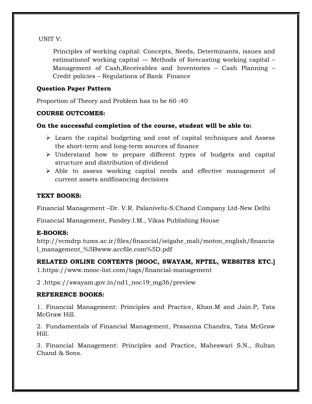# UNIT V:

 Principles of working capital: Concepts, Needs, Determinants, issues and estimationof working capital –– Methods of forecasting working capital – Management of Cash,Receivables and Inventories – Cash Planning – Credit policies – Regulations of Bank Finance

# **Question Paper Pattern**

Proportion of Theory and Problem has to be 60 :40

# **COURSE OUTCOMES:**

## **On the successful completion of the course, student will be able to:**

- $\triangleright$  Learn the capital budgeting and cost of capital techniques and Assess the short-term and long-term sources of finance
- $\triangleright$  Understand how to prepare different types of budgets and capital structure and distribution of dividend
- Able to assess working capital needs and effective management of current assets andfinancing decisions

## **TEXT BOOKS:**

Financial Management –Dr. V.R. Palanivelu-S.Chand Company Ltd-New Delhi

Financial Management, Pandey.I.M., Vikas Publishing House

# **E-BOOKS:**

http://vcmdrp.tums.ac.ir/files/financial/istgahe\_mali/moton\_english/financia l\_management\_%5Bwww.accfile.com%5D.pdf

**RELATED ONLINE CONTENTS [MOOC, SWAYAM, NPTEL, WEBSITES ETC.]** 1.https://www.mooc-list.com/tags/financial-management

2 .https://swayam.gov.in/nd1\_noc19\_mg36/preview

# **REFERENCE BOOKS:**

1. Financial Management: Principles and Practice, Khan.M and Jain.P, Tata McGraw Hill.

2. Fundamentals of Financial Management, Prasanna Chandra, Tata McGraw Hill.

3. Financial Management: Principles and Practice, Maheswari S.N., Sultan Chand & Sons.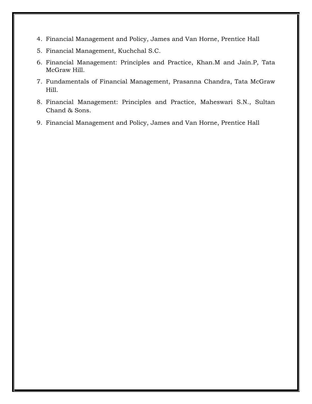- 4. Financial Management and Policy, James and Van Horne, Prentice Hall
- 5. Financial Management, Kuchchal S.C.
- 6. Financial Management: Principles and Practice, Khan.M and Jain.P, Tata McGraw Hill.
- 7. Fundamentals of Financial Management, Prasanna Chandra, Tata McGraw Hill.
- 8. Financial Management: Principles and Practice, Maheswari S.N., Sultan Chand & Sons.
- 9. Financial Management and Policy, James and Van Horne, Prentice Hall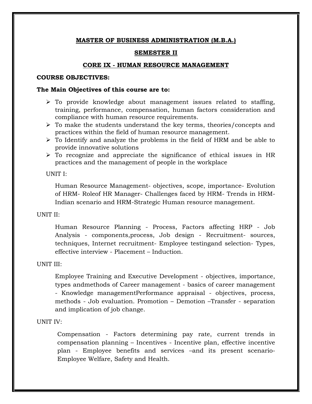## **SEMESTER II**

## **CORE IX - HUMAN RESOURCE MANAGEMENT**

## **COURSE OBJECTIVES:**

## **The Main Objectives of this course are to:**

- $\triangleright$  To provide knowledge about management issues related to staffing, training, performance, compensation, human factors consideration and compliance with human resource requirements.
- $\triangleright$  To make the students understand the key terms, theories/concepts and practices within the field of human resource management.
- $\triangleright$  To Identify and analyze the problems in the field of HRM and be able to provide innovative solutions
- $\triangleright$  To recognize and appreciate the significance of ethical issues in HR practices and the management of people in the workplace

## UNIT I:

Human Resource Management- objectives, scope, importance- Evolution of HRM- Roleof HR Manager- Challenges faced by HRM- Trends in HRM-Indian scenario and HRM-Strategic Human resource management.

## UNIT II:

Human Resource Planning - Process, Factors affecting HRP - Job Analysis - components,process, Job design - Recruitment- sources, techniques, Internet recruitment- Employee testingand selection- Types, effective interview - Placement – Induction.

## UNIT III:

Employee Training and Executive Development - objectives, importance, types andmethods of Career management - basics of career management - Knowledge managementPerformance appraisal - objectives, process, methods - Job evaluation. Promotion – Demotion –Transfer - separation and implication of job change.

#### UNIT IV:

Compensation - Factors determining pay rate, current trends in compensation planning – Incentives - Incentive plan, effective incentive plan - Employee benefits and services –and its present scenario-Employee Welfare, Safety and Health.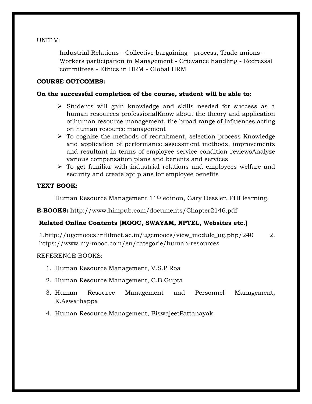UNIT V:

Industrial Relations - Collective bargaining - process, Trade unions - Workers participation in Management - Grievance handling - Redressal committees - Ethics in HRM - Global HRM

## **COURSE OUTCOMES:**

## **On the successful completion of the course, student will be able to:**

- $\triangleright$  Students will gain knowledge and skills needed for success as a human resources professionalKnow about the theory and application of human resource management, the broad range of influences acting on human resource management
- $\triangleright$  To cognize the methods of recruitment, selection process Knowledge and application of performance assessment methods, improvements and resultant in terms of employee service condition reviewsAnalyze various compensation plans and benefits and services
- $\triangleright$  To get familiar with industrial relations and employees welfare and security and create apt plans for employee benefits

## **TEXT BOOK:**

Human Resource Management 11th edition, Gary Dessler, PHI learning.

**E-BOOKS:** http://www.himpub.com/documents/Chapter2146.pdf

# **Related Online Contents [MOOC, SWAYAM, NPTEL, Websites etc.]**

1.http://ugcmoocs.inflibnet.ac.in/ugcmoocs/view\_module\_ug.php/240 2. https://www.my-mooc.com/en/categorie/human-resources

- 1. Human Resource Management, V.S.P.Roa
- 2. Human Resource Management, C.B.Gupta
- 3. Human Resource Management and Personnel Management, K.Aswathappa
- 4. Human Resource Management, BiswajeetPattanayak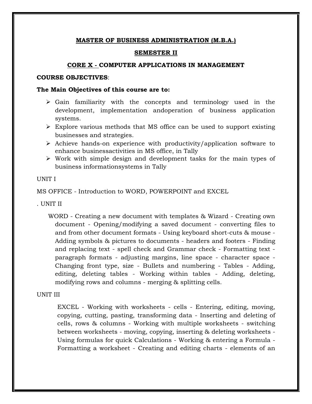#### **SEMESTER II**

#### **CORE X - COMPUTER APPLICATIONS IN MANAGEMENT**

## **COURSE OBJECTIVES**:

#### **The Main Objectives of this course are to:**

- $\triangleright$  Gain familiarity with the concepts and terminology used in the development, implementation andoperation of business application systems.
- $\triangleright$  Explore various methods that MS office can be used to support existing businesses and strategies.
- $\triangleright$  Achieve hands-on experience with productivity/application software to enhance businessactivities in MS office, in Tally
- $\triangleright$  Work with simple design and development tasks for the main types of business informationsystems in Tally

#### UNIT I

MS OFFICE - Introduction to WORD, POWERPOINT and EXCEL

. UNIT II

WORD - Creating a new document with templates & Wizard - Creating own document - Opening/modifying a saved document - converting files to and from other document formats - Using keyboard short-cuts & mouse - Adding symbols & pictures to documents - headers and footers - Finding and replacing text - spell check and Grammar check - Formatting text paragraph formats - adjusting margins, line space - character space - Changing front type, size - Bullets and numbering - Tables - Adding, editing, deleting tables - Working within tables - Adding, deleting, modifying rows and columns - merging & splitting cells.

## UNIT III

EXCEL - Working with worksheets - cells - Entering, editing, moving, copying, cutting, pasting, transforming data - Inserting and deleting of cells, rows & columns - Working with multiple worksheets - switching between worksheets - moving, copying, inserting & deleting worksheets - Using formulas for quick Calculations - Working & entering a Formula - Formatting a worksheet - Creating and editing charts - elements of an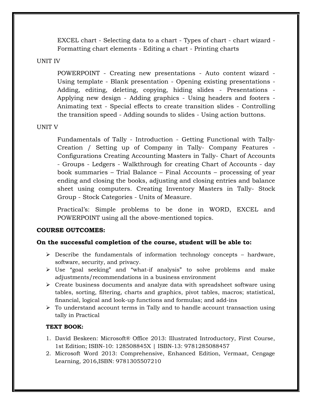EXCEL chart - Selecting data to a chart - Types of chart - chart wizard - Formatting chart elements - Editing a chart - Printing charts

## UNIT IV

POWERPOINT - Creating new presentations - Auto content wizard - Using template - Blank presentation - Opening existing presentations - Adding, editing, deleting, copying, hiding slides - Presentations - Applying new design - Adding graphics - Using headers and footers - Animating text - Special effects to create transition slides - Controlling the transition speed - Adding sounds to slides - Using action buttons.

### UNIT V

Fundamentals of Tally - Introduction - Getting Functional with Tally-Creation / Setting up of Company in Tally- Company Features - Configurations Creating Accounting Masters in Tally- Chart of Accounts - Groups - Ledgers - Walkthrough for creating Chart of Accounts - day book summaries – Trial Balance – Final Accounts – processing of year ending and closing the books, adjusting and closing entries and balance sheet using computers. Creating Inventory Masters in Tally- Stock Group - Stock Categories - Units of Measure.

Practical"s: Simple problems to be done in WORD, EXCEL and POWERPOINT using all the above-mentioned topics.

### **COURSE OUTCOMES:**

### **On the successful completion of the course, student will be able to:**

- $\triangleright$  Describe the fundamentals of information technology concepts hardware, software, security, and privacy.
- $\triangleright$  Use "goal seeking" and "what-if analysis" to solve problems and make adjustments/recommendations in a business environment
- $\triangleright$  Create business documents and analyze data with spreadsheet software using tables, sorting, filtering, charts and graphics, pivot tables, macros; statistical, financial, logical and look-up functions and formulas; and add-ins
- $\triangleright$  To understand account terms in Tally and to handle account transaction using tally in Practical

### **TEXT BOOK:**

- 1. David Beskeen: Microsoft® Office 2013: Illustrated Introductory, First Course, 1st Edition; ISBN-10: 128508845X | ISBN-13: 9781285088457
- 2. Microsoft Word 2013: Comprehensive, Enhanced Edition, Vermaat, Cengage Learning, 2016,ISBN: 9781305507210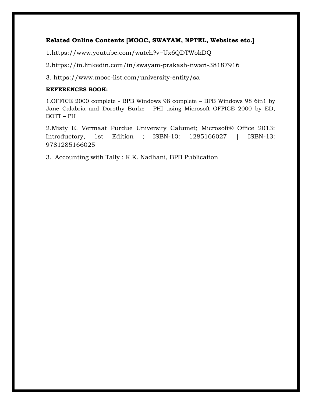## **Related Online Contents [MOOC, SWAYAM, NPTEL, Websites etc.]**

1.https://www.youtube.com/watch?v=Ux6QDTWokDQ

2.https://in.linkedin.com/in/swayam-prakash-tiwari-38187916

3. https://www.mooc-list.com/university-entity/sa

## **REFERENCES BOOK:**

1.OFFICE 2000 complete - BPB Windows 98 complete – BPB Windows 98 6in1 by Jane Calabria and Dorothy Burke - PHI using Microsoft OFFICE 2000 by ED, BOTT – PH

2.Misty E. Vermaat Purdue University Calumet; Microsoft® Office 2013: Introductory, 1st Edition ; ISBN-10: 1285166027 | ISBN-13: 9781285166025

3. Accounting with Tally : K.K. Nadhani, BPB Publication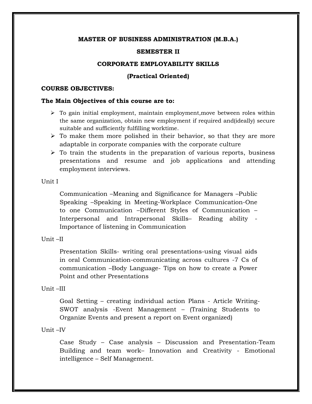#### **SEMESTER II**

#### **CORPORATE EMPLOYABILITY SKILLS**

#### **(Practical Oriented)**

#### **COURSE OBJECTIVES:**

#### **The Main Objectives of this course are to:**

- $\triangleright$  To gain initial employment, maintain employment, move between roles within the same organization, obtain new employment if required and(ideally) secure suitable and sufficiently fulfilling worktime.
- $\triangleright$  To make them more polished in their behavior, so that they are more adaptable in corporate companies with the corporate culture
- $\triangleright$  To train the students in the preparation of various reports, business presentations and resume and job applications and attending employment interviews.

#### Unit I

Communication –Meaning and Significance for Managers –Public Speaking –Speaking in Meeting-Workplace Communication-One to one Communication –Different Styles of Communication – Interpersonal and Intrapersonal Skills– Reading ability - Importance of listening in Communication

#### Unit –II

Presentation Skills- writing oral presentations-using visual aids in oral Communication-communicating across cultures -7 Cs of communication –Body Language- Tips on how to create a Power Point and other Presentations

#### Unit –III

Goal Setting – creating individual action Plans - Article Writing-SWOT analysis -Event Management – (Training Students to Organize Events and present a report on Event organized)

#### Unit –IV

Case Study – Case analysis – Discussion and Presentation-Team Building and team work– Innovation and Creativity - Emotional intelligence – Self Management.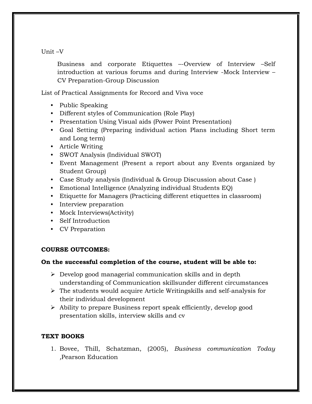## Unit –V

Business and corporate Etiquettes –-Overview of Interview –Self introduction at various forums and during Interview -Mock Interview – CV Preparation-Group Discussion

List of Practical Assignments for Record and Viva voce

- Public Speaking
- Different styles of Communication (Role Play)
- Presentation Using Visual aids (Power Point Presentation)
- Goal Setting (Preparing individual action Plans including Short term and Long term)
- Article Writing
- SWOT Analysis (Individual SWOT)
- Event Management (Present a report about any Events organized by Student Group)
- Case Study analysis (Individual & Group Discussion about Case )
- Emotional Intelligence (Analyzing individual Students EQ)
- Etiquette for Managers (Practicing different etiquettes in classroom)
- Interview preparation
- Mock Interviews(Activity)
- Self Introduction
- CV Preparation

## **COURSE OUTCOMES:**

## **On the successful completion of the course, student will be able to:**

- $\triangleright$  Develop good managerial communication skills and in depth understanding of Communication skillsunder different circumstances
- $\triangleright$  The students would acquire Article Writingskills and self-analysis for their individual development
- Ability to prepare Business report speak efficiently, develop good presentation skills, interview skills and cv

## **TEXT BOOKS**

1. Bovee, Thill, Schatzman, (2005), *Business communication Today ,*Pearson Education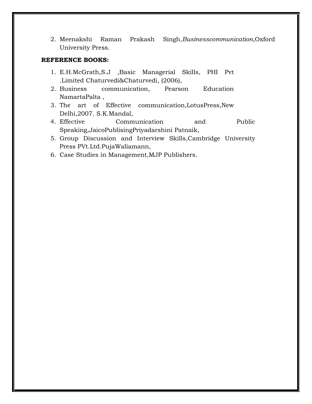2. Meenakshi Raman Prakash Singh,*Businesscommunication*,Oxford University Press.

- 1. E.H.McGrath,S.J ,Basic Managerial Skills, PHI Pvt .Limited Chaturvedi&Chaturvedi, (2006),
- 2. Business communication, Pearson Education NamartaPalta ,
- 3. The art of Effective communication,LotusPress,New Delhi,2007. S.K.Mandal,
- 4. Effective Communication and Public Speaking,JaicoPublisingPriyadarshini Patnaik,
- 5. Group Discussion and Interview Skills,Cambridge University Press PVt.Ltd.PujaWaliamann,
- 6. Case Studies in Management,MJP Publishers.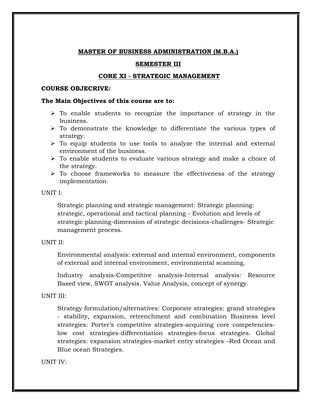### **SEMESTER III**

### **CORE XI - STRATEGIC MANAGEMENT**

#### **COURSE OBJECRIVE:**

### **The Main Objectives of this course are to:**

- $\triangleright$  To enable students to recognize the importance of strategy in the business.
- $\triangleright$  To demonstrate the knowledge to differentiate the various types of strategy.
- $\triangleright$  To equip students to use tools to analyze the internal and external environment of the business.
- $\triangleright$  To enable students to evaluate various strategy and make a choice of the strategy.
- $\triangleright$  To choose frameworks to measure the effectiveness of the strategy implementation.

### UNIT I:

Strategic planning and strategic management: Strategic planning: strategic, operational and tactical planning - Evolution and levels of strategic planning-dimension of strategic decisions-challenges- Strategic management process.

## UNIT II:

Environmental analysis: external and internal environment, components of external and internal environment, environmental scanning.

Industry analysis-Competitive analysis-Internal analysis: Resource Based view, SWOT analysis, Value Analysis, concept of synergy.

### UNIT III:

Strategy formulation/alternatives: Corporate strategies: grand strategies - stability, expansion, retrenchment and combination Business level strategies: Porter"s competitive strategies-acquiring core competencieslow cost strategies-differentiation strategies-focus strategies. Global strategies: expansion strategies-market entry strategies –Red Ocean and Blue ocean Strategies.

### UNIT IV: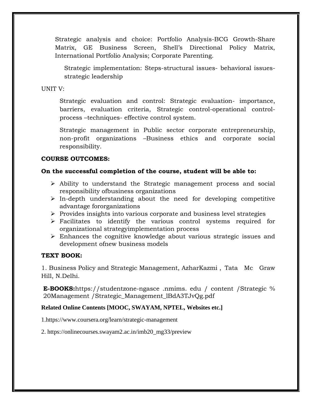Strategic analysis and choice: Portfolio Analysis-BCG Growth-Share Matrix, GE Business Screen, Shell"s Directional Policy Matrix, International Portfolio Analysis; Corporate Parenting.

Strategic implementation: Steps-structural issues- behavioral issuesstrategic leadership

UNIT V:

Strategic evaluation and control: Strategic evaluation- importance, barriers, evaluation criteria, Strategic control-operational controlprocess –techniques- effective control system.

Strategic management in Public sector corporate entrepreneurship, non-profit organizations –Business ethics and corporate social responsibility.

## **COURSE OUTCOMES:**

## **On the successful completion of the course, student will be able to:**

- Ability to understand the Strategic management process and social responsibility ofbusiness organizations
- $\triangleright$  In-depth understanding about the need for developing competitive advantage fororganizations
- $\triangleright$  Provides insights into various corporate and business level strategies
- $\triangleright$  Facilitates to identify the various control systems required for organizational strategyimplementation process
- Enhances the cognitive knowledge about various strategic issues and development ofnew business models

## **TEXT BOOK:**

1. Business Policy and Strategic Management, AzharKazmi , Tata Mc Graw Hill, N.Delhi.

**E-BOOKS:**https://studentzone-ngasce .nmims. edu / content /Strategic % 20Management /Strategic\_Management\_lBdA3TJvQg.pdf

## **Related Online Contents [MOOC, SWAYAM, NPTEL, Websites etc.]**

1.https://www.coursera.org/learn/strategic-management

2. https://onlinecourses.swayam2.ac.in/imb20\_mg33/preview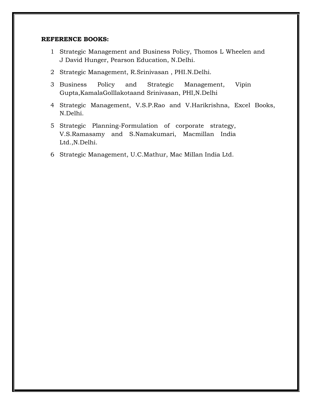- 1 Strategic Management and Business Policy, Thomos L Wheelen and J David Hunger, Pearson Education, N.Delhi.
- 2 Strategic Management, R.Srinivasan , PHI.N.Delhi.
- 3 Business Policy and Strategic Management, Vipin Gupta,KamalaGolllakotaand Srinivasan, PHI,N.Delhi
- 4 Strategic Management, V.S.P.Rao and V.Harikrishna, Excel Books, N.Delhi.
- 5 Strategic Planning-Formulation of corporate strategy, V.S.Ramasamy and S.Namakumari, Macmillan India Ltd.,N.Delhi.
- 6 Strategic Management, U.C.Mathur, Mac Millan India Ltd.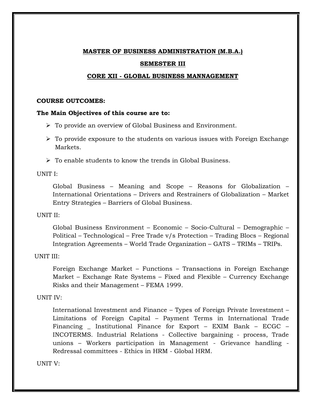# **MASTER OF BUSINESS ADMINISTRATION (M.B.A.) SEMESTER III**

## **CORE XII - GLOBAL BUSINESS MANNAGEMENT**

## **COURSE OUTCOMES:**

### **The Main Objectives of this course are to:**

- To provide an overview of Global Business and Environment.
- $\triangleright$  To provide exposure to the students on various issues with Foreign Exchange Markets.
- $\triangleright$  To enable students to know the trends in Global Business.

UNIT I:

Global Business – Meaning and Scope – Reasons for Globalization – International Orientations – Drivers and Restrainers of Globalization – Market Entry Strategies – Barriers of Global Business.

## UNIT II:

Global Business Environment – Economic – Socio-Cultural – Demographic – Political – Technological – Free Trade v/s Protection – Trading Blocs – Regional Integration Agreements – World Trade Organization – GATS – TRIMs – TRIPs.

## UNIT III:

Foreign Exchange Market – Functions – Transactions in Foreign Exchange Market – Exchange Rate Systems – Fixed and Flexible – Currency Exchange Risks and their Management – FEMA 1999.

## UNIT IV:

International Investment and Finance – Types of Foreign Private Investment – Limitations of Foreign Capital – Payment Terms in International Trade Financing \_ Institutional Finance for Export – EXIM Bank – ECGC – INCOTERMS. Industrial Relations - Collective bargaining - process, Trade unions – Workers participation in Management - Grievance handling - Redressal committees - Ethics in HRM - Global HRM.

UNIT V: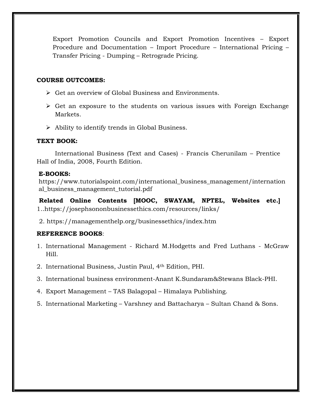Export Promotion Councils and Export Promotion Incentives – Export Procedure and Documentation – Import Procedure – International Pricing – Transfer Pricing - Dumping – Retrograde Pricing.

## **COURSE OUTCOMES:**

- Get an overview of Global Business and Environments.
- $\triangleright$  Get an exposure to the students on various issues with Foreign Exchange Markets.
- Ability to identify trends in Global Business.

### **TEXT BOOK:**

International Business (Text and Cases) - Francis Cherunilam – Prentice Hall of India, 2008, Fourth Edition.

### **E-BOOKS:**

https://www.tutorialspoint.com/international\_business\_management/internation al\_business\_management\_tutorial.pdf

**Related Online Contents [MOOC, SWAYAM, NPTEL, Websites etc.]**  1..https://josephsononbusinessethics.com/resources/links/

2. https://managementhelp.org/businessethics/index.htm

- 1. International Management Richard M.Hodgetts and Fred Luthans McGraw Hill.
- 2. International Business, Justin Paul, 4th Edition, PHI.
- 3. International business environment-Anant K.Sundaram&Stewans Black-PHI.
- 4. Export Management TAS Balagopal Himalaya Publishing.
- 5. International Marketing Varshney and Battacharya Sultan Chand & Sons.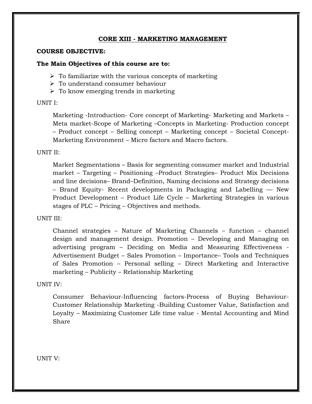## **CORE XIII - MARKETING MANAGEMENT**

#### **COURSE OBJECTIVE:**

#### **The Main Objectives of this course are to:**

 $\triangleright$  To familiarize with the various concepts of marketing

- To understand consumer behaviour
- $\triangleright$  To know emerging trends in marketing

### UNIT I:

Marketing -Introduction- Core concept of Marketing- Marketing and Markets – Meta market-Scope of Marketing –Concepts in Marketing- Production concept – Product concept – Selling concept – Marketing concept – Societal Concept-Marketing Environment – Micro factors and Macro factors.

## UNIT II:

Market Segmentations – Basis for segmenting consumer market and Industrial market – Targeting – Positioning –Product Strategies– Product Mix Decisions and line decisions– Brand–Definition, Naming decisions and Strategy decisions – Brand Equity- Recent developments in Packaging and Labelling –– New Product Development – Product Life Cycle – Marketing Strategies in various stages of PLC – Pricing – Objectives and methods.

### UNIT III:

Channel strategies – Nature of Marketing Channels – function – channel design and management design. Promotion – Developing and Managing on advertising program – Deciding on Media and Measuring Effectiveness - Advertisement Budget – Sales Promotion – Importance– Tools and Techniques of Sales Promotion – Personal selling – Direct Marketing and Interactive marketing – Publicity – Relationship Marketing

### UNIT IV:

Consumer Behaviour-Influencing factors-Process of Buying Behaviour-Customer Relationship Marketing -Building Customer Value, Satisfaction and Loyalty – Maximizing Customer Life time value - Mental Accounting and Mind Share

UNIT V: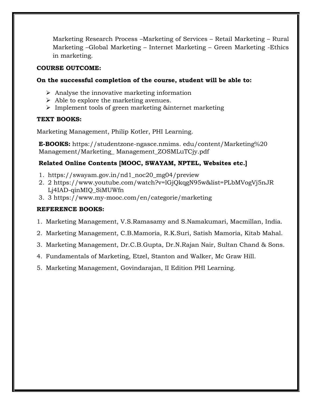Marketing Research Process –Marketing of Services – Retail Marketing – Rural Marketing –Global Marketing – Internet Marketing – Green Marketing -Ethics in marketing.

## **COURSE OUTCOME:**

## **On the successful completion of the course, student will be able to:**

- $\triangleright$  Analyse the innovative marketing information
- $\triangleright$  Able to explore the marketing avenues.
- > Implement tools of green marketing &internet marketing

## **TEXT BOOKS:**

Marketing Management, Philip Kotler, PHI Learning.

**E-BOOKS:** https://studentzone-ngasce.nmims. edu/content/Marketing%20 Management/Marketing\_ Management\_ZOSMLuTCjy.pdf

## **Related Online Contents [MOOC, SWAYAM, NPTEL, Websites etc.]**

- 1. https://swayam.gov.in/nd1\_noc20\_mg04/preview
- 2. 2 https://www.youtube.com/watch?v=lGjQkqgN95w&list=PLbMVogVj5nJR Lj4IAD-qinMIQ\_SiMUWfn
- 3. 3 https://www.my-mooc.com/en/categorie/marketing

- 1. Marketing Management, V.S.Ramasamy and S.Namakumari, Macmillan, India.
- 2. Marketing Management, C.B.Mamoria, R.K.Suri, Satish Mamoria, Kitab Mahal.
- 3. Marketing Management, Dr.C.B.Gupta, Dr.N.Rajan Nair, Sultan Chand & Sons.
- 4. Fundamentals of Marketing, Etzel, Stanton and Walker, Mc Graw Hill.
- 5. Marketing Management, Govindarajan, II Edition PHI Learning.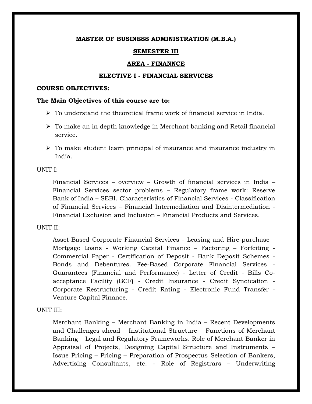## **SEMESTER III**

## **AREA - FINANNCE**

## **ELECTIVE I - FINANCIAL SERVICES**

#### **COURSE OBJECTIVES:**

### **The Main Objectives of this course are to:**

- $\triangleright$  To understand the theoretical frame work of financial service in India.
- $\triangleright$  To make an in depth knowledge in Merchant banking and Retail financial service.
- $\triangleright$  To make student learn principal of insurance and insurance industry in India.

## UNIT I:

Financial Services – overview – Growth of financial services in India – Financial Services sector problems – Regulatory frame work: Reserve Bank of India – SEBI. Characteristics of Financial Services - Classification of Financial Services – Financial Intermediation and Disintermediation - Financial Exclusion and Inclusion – Financial Products and Services.

## UNIT II:

Asset-Based Corporate Financial Services - Leasing and Hire-purchase – Mortgage Loans - Working Capital Finance – Factoring – Forfeiting - Commercial Paper - Certification of Deposit - Bank Deposit Schemes - Bonds and Debentures. Fee-Based Corporate Financial Services - Guarantees (Financial and Performance) - Letter of Credit - Bills Coacceptance Facility (BCF) - Credit Insurance - Credit Syndication - Corporate Restructuring - Credit Rating - Electronic Fund Transfer - Venture Capital Finance.

## UNIT III:

Merchant Banking – Merchant Banking in India – Recent Developments and Challenges ahead – Institutional Structure – Functions of Merchant Banking – Legal and Regulatory Frameworks. Role of Merchant Banker in Appraisal of Projects, Designing Capital Structure and Instruments – Issue Pricing – Pricing – Preparation of Prospectus Selection of Bankers, Advertising Consultants, etc. - Role of Registrars – Underwriting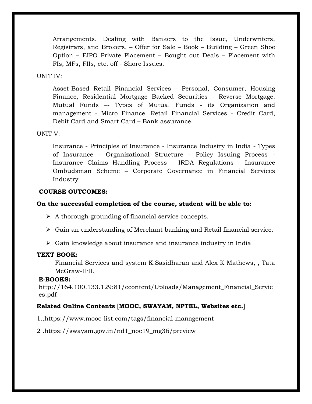Arrangements. Dealing with Bankers to the Issue, Underwriters, Registrars, and Brokers. – Offer for Sale – Book – Building – Green Shoe Option – EIPO Private Placement – Bought out Deals – Placement with FIs, MFs, FIIs, etc. off - Shore Issues.

## UNIT IV:

Asset-Based Retail Financial Services - Personal, Consumer, Housing Finance, Residential Mortgage Backed Securities - Reverse Mortgage. Mutual Funds –- Types of Mutual Funds - its Organization and management - Micro Finance. Retail Financial Services - Credit Card, Debit Card and Smart Card – Bank assurance.

#### UNIT V:

Insurance - Principles of Insurance - Insurance Industry in India - Types of Insurance - Organizational Structure - Policy Issuing Process - Insurance Claims Handling Process - IRDA Regulations - Insurance Ombudsman Scheme – Corporate Governance in Financial Services Industry

#### **COURSE OUTCOMES:**

### **On the successful completion of the course, student will be able to:**

- $\triangleright$  A thorough grounding of financial service concepts.
- $\triangleright$  Gain an understanding of Merchant banking and Retail financial service.
- $\triangleright$  Gain knowledge about insurance and insurance industry in India

#### **TEXT BOOK:**

Financial Services and system K.Sasidharan and Alex K Mathews, , Tata McGraw-Hill.

#### **E-BOOKS:**

http://164.100.133.129:81/econtent/Uploads/Management\_Financial\_Servic es.pdf

## **Related Online Contents [MOOC, SWAYAM, NPTEL, Websites etc.]**

1.,https://www.mooc-list.com/tags/financial-management

2 .https://swayam.gov.in/nd1\_noc19\_mg36/preview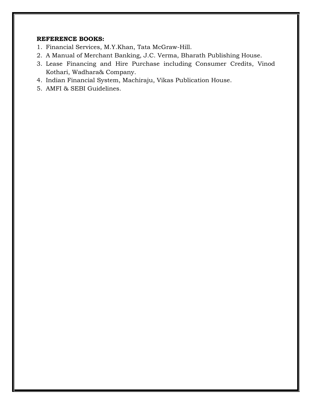- 1. Financial Services, M.Y.Khan, Tata McGraw-Hill.
- 2. A Manual of Merchant Banking, J.C. Verma, Bharath Publishing House.
- 3. Lease Financing and Hire Purchase including Consumer Credits, Vinod Kothari, Wadhara& Company.
- 4. Indian Financial System, Machiraju, Vikas Publication House.
- 5. AMFI & SEBI Guidelines.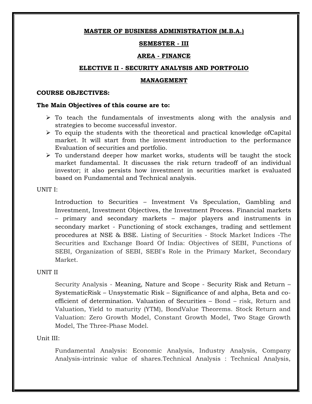## **SEMESTER - III**

### **AREA - FINANCE**

#### **ELECTIVE II - SECURITY ANALYSIS AND PORTFOLIO**

#### **MANAGEMENT**

#### **COURSE OBJECTIVES:**

#### **The Main Objectives of this course are to:**

- $\triangleright$  To teach the fundamentals of investments along with the analysis and strategies to become successful investor.
- $\triangleright$  To equip the students with the theoretical and practical knowledge of Capital market. It will start from the investment introduction to the performance Evaluation of securities and portfolio.
- $\triangleright$  To understand deeper how market works, students will be taught the stock market fundamental. It discusses the risk return tradeoff of an individual investor; it also persists how investment in securities market is evaluated based on Fundamental and Technical analysis.

UNIT I:

Introduction to Securities – Investment Vs Speculation, Gambling and Investment, Investment Objectives, the Investment Process. Financial markets – primary and secondary markets – major players and instruments in secondary market - Functioning of stock exchanges, trading and settlement procedures at NSE & BSE. Listing of Securities - Stock Market Indices -The Securities and Exchange Board Of India: Objectives of SEBI, Functions of SEBI, Organization of SEBI, SEBI's Role in the Primary Market, Secondary Market.

### UNIT II

Security Analysis - Meaning, Nature and Scope - Security Risk and Return – SystematicRisk – Unsystematic Risk – Significance of and alpha, Beta and coefficient of determination. Valuation of Securities – Bond – risk, Return and Valuation, Yield to maturity (YTM), BondValue Theorems. Stock Return and Valuation: Zero Growth Model, Constant Growth Model, Two Stage Growth Model, The Three-Phase Model.

## Unit III:

Fundamental Analysis: Economic Analysis, Industry Analysis, Company Analysis-intrinsic value of shares.Technical Analysis : Technical Analysis,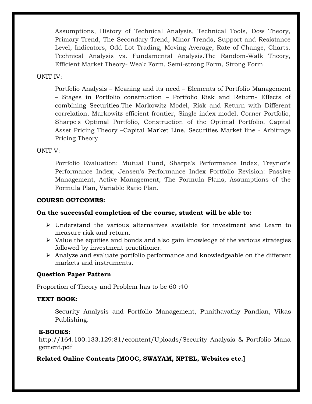Assumptions, History of Technical Analysis, Technical Tools, Dow Theory, Primary Trend, The Secondary Trend, Minor Trends, Support and Resistance Level, Indicators, Odd Lot Trading, Moving Average, Rate of Change, Charts. Technical Analysis vs. Fundamental Analysis.The Random-Walk Theory, Efficient Market Theory- Weak Form, Semi-strong Form, Strong Form

## UNIT IV:

Portfolio Analysis – Meaning and its need – Elements of Portfolio Management – Stages in Portfolio construction – Portfolio Risk and Return- Effects of combining Securities.The Markowitz Model, Risk and Return with Different correlation, Markowitz efficient frontier, Single index model, Corner Portfolio, Sharpe's Optimal Portfolio, Construction of the Optimal Portfolio. Capital Asset Pricing Theory –Capital Market Line, Securities Market line - Arbitrage Pricing Theory

## UNIT V:

Portfolio Evaluation: Mutual Fund, Sharpe's Performance Index, Treynor's Performance Index, Jensen's Performance Index Portfolio Revision: Passive Management, Active Management, The Formula Plans, Assumptions of the Formula Plan, Variable Ratio Plan.

## **COURSE OUTCOMES:**

## **On the successful completion of the course, student will be able to:**

- $\triangleright$  Understand the various alternatives available for investment and Learn to measure risk and return.
- $\triangleright$  Value the equities and bonds and also gain knowledge of the various strategies followed by investment practitioner.
- $\triangleright$  Analyze and evaluate portfolio performance and knowledgeable on the different markets and instruments.

### **Question Paper Pattern**

Proportion of Theory and Problem has to be 60 :40

### **TEXT BOOK:**

Security Analysis and Portfolio Management, Punithavathy Pandian, Vikas Publishing.

### **E-BOOKS:**

http://164.100.133.129:81/econtent/Uploads/Security\_Analysis\_&\_Portfolio\_Mana gement.pdf

## **Related Online Contents [MOOC, SWAYAM, NPTEL, Websites etc.]**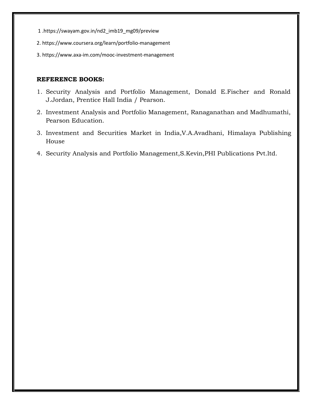- 1 .https://swayam.gov.in/nd2\_imb19\_mg09/preview
- 2. https://www.coursera.org/learn/portfolio-management
- 3. https://www.axa-im.com/mooc-investment-management

- 1. Security Analysis and Portfolio Management, Donald E.Fischer and Ronald J.Jordan, Prentice Hall India / Pearson.
- 2. Investment Analysis and Portfolio Management, Ranaganathan and Madhumathi, Pearson Education.
- 3. Investment and Securities Market in India,V.A.Avadhani, Himalaya Publishing House
- 4. Security Analysis and Portfolio Management,S.Kevin,PHI Publications Pvt.ltd.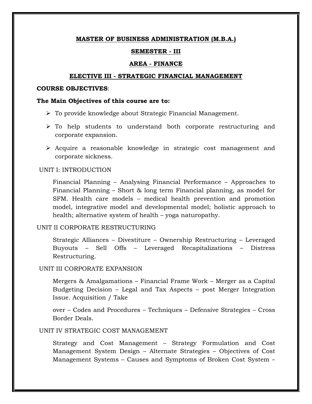#### **SEMESTER - III**

#### **AREA - FINANCE**

#### **ELECTIVE III - STRATEGIC FINANCIAL MANAGEMENT**

#### **COURSE OBJECTIVES**:

#### **The Main Objectives of this course are to:**

- $\triangleright$  To provide knowledge about Strategic Financial Management.
- $\triangleright$  To help students to understand both corporate restructuring and corporate expansion.
- Acquire a reasonable knowledge in strategic cost management and corporate sickness.

#### UNIT I: INTRODUCTION

Financial Planning – Analysing Financial Performance – Approaches to Financial Planning – Short & long term Financial planning, as model for SFM. Health care models – medical health prevention and promotion model, integrative model and developmental model; holistic approach to health; alternative system of health – yoga naturopathy.

#### UNIT II CORPORATE RESTRUCTURING

Strategic Alliances – Divestiture – Ownership Restructuring – Leveraged Buyouts – Sell Offs – Leveraged Recapitalizations – Distress Restructuring.

#### UNIT III CORPORATE EXPANSION

Mergers & Amalgamations – Financial Frame Work – Merger as a Capital Budgeting Decision – Legal and Tax Aspects – post Merger Integration Issue. Acquisition / Take

over – Codes and Procedures – Techniques – Defensive Strategies – Cross Border Deals.

## UNIT IV STRATEGIC COST MANAGEMENT

Strategy and Cost Management – Strategy Formulation and Cost Management System Design – Alternate Strategies – Objectives of Cost Management Systems – Causes and Symptoms of Broken Cost System –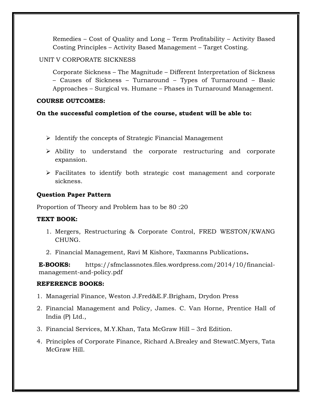Remedies – Cost of Quality and Long – Term Profitability – Activity Based Costing Principles – Activity Based Management – Target Costing.

## UNIT V CORPORATE SICKNESS

Corporate Sickness – The Magnitude – Different Interpretation of Sickness – Causes of Sickness – Turnaround – Types of Turnaround – Basic Approaches – Surgical vs. Humane – Phases in Turnaround Management.

## **COURSE OUTCOMES:**

## **On the successful completion of the course, student will be able to:**

- $\triangleright$  Identify the concepts of Strategic Financial Management
- Ability to understand the corporate restructuring and corporate expansion.
- Facilitates to identify both strategic cost management and corporate sickness.

## **Question Paper Pattern**

Proportion of Theory and Problem has to be 80 :20

## **TEXT BOOK:**

- 1. Mergers, Restructuring & Corporate Control, FRED WESTON/KWANG CHUNG.
- 2. Financial Management, Ravi M Kishore, Taxmanns Publications**.**

**E-BOOKS:** https://sfmclassnotes.files.wordpress.com/2014/10/financialmanagement-and-policy.pdf

- 1. Managerial Finance, Weston J.Fred&E.F.Brigham, Drydon Press
- 2. Financial Management and Policy, James. C. Van Horne, Prentice Hall of India (P) Ltd.,
- 3. Financial Services, M.Y.Khan, Tata McGraw Hill 3rd Edition.
- 4. Principles of Corporate Finance, Richard A.Brealey and StewatC.Myers, Tata McGraw Hill.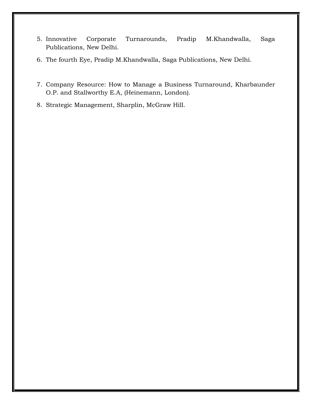- 5. Innovative Corporate Turnarounds, Pradip M.Khandwalla, Saga Publications, New Delhi.
- 6. The fourth Eye, Pradip M.Khandwalla, Saga Publications, New Delhi.
- 7. Company Resource: How to Manage a Business Turnaround, Kharbaunder O.P. and Stallworthy E.A, (Heinemann, London).
- 8. Strategic Management, Sharplin, McGraw Hill.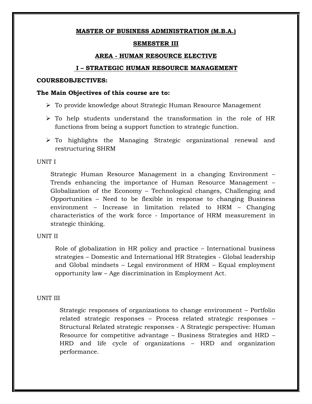## **SEMESTER III**

## **AREA - HUMAN RESOURCE ELECTIVE**

### **I – STRATEGIC HUMAN RESOURCE MANAGEMENT**

#### **COURSEOBJECTIVES:**

### **The Main Objectives of this course are to:**

- To provide knowledge about Strategic Human Resource Management
- $\triangleright$  To help students understand the transformation in the role of HR functions from being a support function to strategic function.
- To highlights the Managing Strategic organizational renewal and restructuring SHRM

#### UNIT I

Strategic Human Resource Management in a changing Environment – Trends enhancing the importance of Human Resource Management – Globalization of the Economy – Technological changes, Challenging and Opportunities – Need to be flexible in response to changing Business environment – Increase in limitation related to HRM – Changing characteristics of the work force - Importance of HRM measurement in strategic thinking.

### UNIT II

Role of globalization in HR policy and practice – International business strategies – Domestic and International HR Strategies - Global leadership and Global mindsets – Legal environment of HRM – Equal employment opportunity law – Age discrimination in Employment Act.

### UNIT III

Strategic responses of organizations to change environment – Portfolio related strategic responses – Process related strategic responses – Structural Related strategic responses - A Strategic perspective: Human Resource for competitive advantage – Business Strategies and HRD – HRD and life cycle of organizations – HRD and organization performance.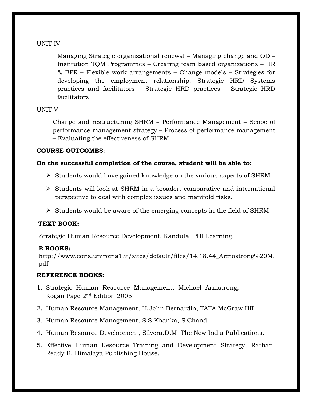## UNIT IV

Managing Strategic organizational renewal – Managing change and OD – Institution TQM Programmes – Creating team based organizations – HR & BPR – Flexible work arrangements – Change models – Strategies for developing the employment relationship. Strategic HRD Systems practices and facilitators – Strategic HRD practices – Strategic HRD facilitators.

## UNIT V

Change and restructuring SHRM – Performance Management – Scope of performance management strategy – Process of performance management – Evaluating the effectiveness of SHRM.

## **COURSE OUTCOMES**:

## **On the successful completion of the course, student will be able to:**

- $\triangleright$  Students would have gained knowledge on the various aspects of SHRM
- $\triangleright$  Students will look at SHRM in a broader, comparative and international perspective to deal with complex issues and manifold risks.
- $\triangleright$  Students would be aware of the emerging concepts in the field of SHRM

## **TEXT BOOK:**

Strategic Human Resource Development, Kandula, PHI Learning.

## **E-BOOKS:**

http://www.coris.uniroma1.it/sites/default/files/14.18.44\_Armostrong%20M. pdf

- 1. Strategic Human Resource Management, Michael Armstrong, Kogan Page 2nd Edition 2005.
- 2. Human Resource Management, H.John Bernardin, TATA McGraw Hill.
- 3. Human Resource Management, S.S.Khanka, S.Chand.
- 4. Human Resource Development, Silvera.D.M, The New India Publications.
- 5. Effective Human Resource Training and Development Strategy, Rathan Reddy B, Himalaya Publishing House.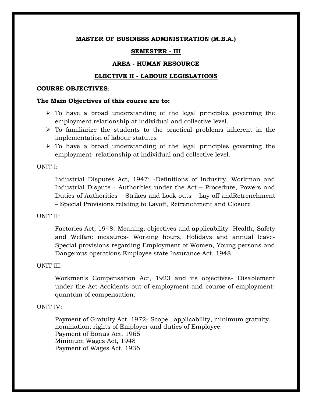### **SEMESTER - III**

### **AREA - HUMAN RESOURCE**

### **ELECTIVE II - LABOUR LEGISLATIONS**

#### **COURSE OBJECTIVES**:

### **The Main Objectives of this course are to:**

- $\triangleright$  To have a broad understanding of the legal principles governing the employment relationship at individual and collective level.
- $\triangleright$  To familiarize the students to the practical problems inherent in the implementation of labour statutes
- $\triangleright$  To have a broad understanding of the legal principles governing the employment relationship at individual and collective level.

#### UNIT I:

Industrial Disputes Act, 1947: -Definitions of Industry, Workman and Industrial Dispute - Authorities under the Act – Procedure, Powers and Duties of Authorities – Strikes and Lock outs – Lay off andRetrenchment – Special Provisions relating to Layoff, Retrenchment and Closure

### UNIT II:

Factories Act, 1948:-Meaning, objectives and applicability- Health, Safety and Welfare measures- Working hours, Holidays and annual leave-Special provisions regarding Employment of Women, Young persons and Dangerous operations.Employee state Insurance Act, 1948.

### UNIT III:

Workmen"s Compensation Act, 1923 and its objectives- Disablement under the Act-Accidents out of employment and course of employmentquantum of compensation.

### UNIT IV:

Payment of Gratuity Act, 1972- Scope , applicability, minimum gratuity, nomination, rights of Employer and duties of Employee. Payment of Bonus Act, 1965 Minimum Wages Act, 1948 Payment of Wages Act, 1936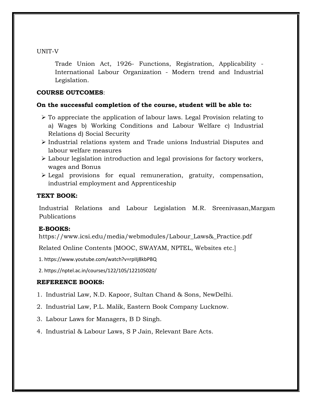UNIT-V

Trade Union Act, 1926- Functions, Registration, Applicability - International Labour Organization - Modern trend and Industrial Legislation.

## **COURSE OUTCOMES**:

## **On the successful completion of the course, student will be able to:**

- $\triangleright$  To appreciate the application of labour laws. Legal Provision relating to a) Wages b) Working Conditions and Labour Welfare c) Industrial Relations d) Social Security
- $\triangleright$  Industrial relations system and Trade unions Industrial Disputes and labour welfare measures
- Labour legislation introduction and legal provisions for factory workers, wages and Bonus
- Legal provisions for equal remuneration, gratuity, compensation, industrial employment and Apprenticeship

## **TEXT BOOK:**

Industrial Relations and Labour Legislation M.R. Sreenivasan,Margam Publications

## **E-BOOKS:**

https://www.icsi.edu/media/webmodules/Labour\_Laws&\_Practice.pdf

Related Online Contents [MOOC, SWAYAM, NPTEL, Websites etc.]

1. https://www.youtube.com/watch?v=rpIIj8kbPBQ

2. https://nptel.ac.in/courses/122/105/122105020/

- 1. Industrial Law, N.D. Kapoor, Sultan Chand & Sons, NewDelhi.
- 2. Industrial Law, P.L. Malik, Eastern Book Company Lucknow.
- 3. Labour Laws for Managers, B D Singh.
- 4. Industrial & Labour Laws, S P Jain, Relevant Bare Acts.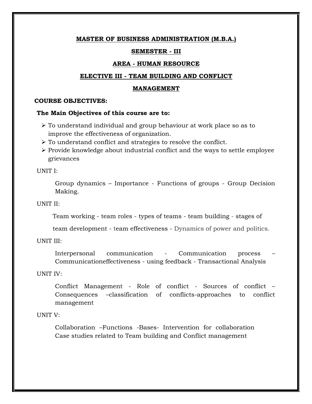#### **SEMESTER - III**

#### **AREA - HUMAN RESOURCE**

#### **ELECTIVE III - TEAM BUILDING AND CONFLICT**

#### **MANAGEMENT**

#### **COURSE OBJECTIVES:**

#### **The Main Objectives of this course are to:**

- To understand individual and group behaviour at work place so as to improve the effectiveness of organization.
- $\triangleright$  To understand conflict and strategies to resolve the conflict.
- $\triangleright$  Provide knowledge about industrial conflict and the ways to settle employee grievances

UNIT I:

Group dynamics – Importance - Functions of groups - Group Decision Making.

UNIT II:

Team working - team roles - types of teams - team building - stages of

team development - team effectiveness - Dynamics of power and politics.

UNIT III:

Interpersonal communication - Communication process – Communicationeffectiveness - using feedback - Transactional Analysis

UNIT IV:

Conflict Management - Role of conflict - Sources of conflict – Consequences –classification of conflicts-approaches to conflict management

## UNIT V:

Collaboration –Functions -Bases- Intervention for collaboration Case studies related to Team building and Conflict management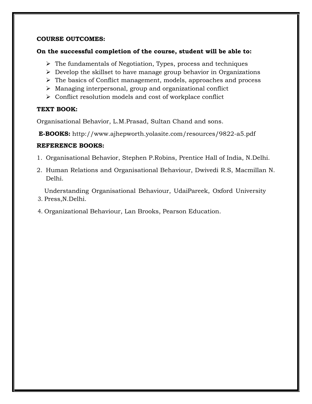## **COURSE OUTCOMES:**

## **On the successful completion of the course, student will be able to:**

- $\triangleright$  The fundamentals of Negotiation, Types, process and techniques
- $\triangleright$  Develop the skillset to have manage group behavior in Organizations
- The basics of Conflict management, models, approaches and process
- Managing interpersonal, group and organizational conflict
- $\triangleright$  Conflict resolution models and cost of workplace conflict

## **TEXT BOOK:**

Organisational Behavior, L.M.Prasad, Sultan Chand and sons.

**E-BOOKS:** http://www.ajhepworth.yolasite.com/resources/9822-a5.pdf

## **REFERENCE BOOKS:**

- 1. Organisational Behavior, Stephen P.Robins, Prentice Hall of India, N.Delhi.
- 2. Human Relations and Organisational Behaviour, Dwivedi R.S, Macmillan N. Delhi.

3. Press,N.Delhi. Understanding Organisational Behaviour, UdaiPareek, Oxford University

4. Organizational Behaviour, Lan Brooks, Pearson Education.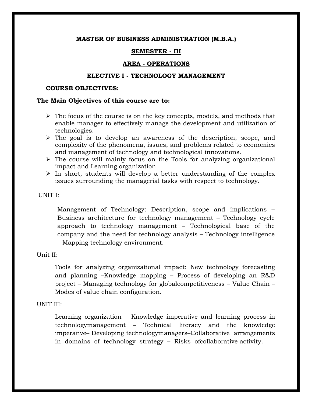### **SEMESTER - III**

#### **AREA - OPERATIONS**

#### **ELECTIVE I - TECHNOLOGY MANAGEMENT**

#### **COURSE OBJECTIVES:**

## **The Main Objectives of this course are to:**

- $\triangleright$  The focus of the course is on the key concepts, models, and methods that enable manager to effectively manage the development and utilization of technologies.
- $\triangleright$  The goal is to develop an awareness of the description, scope, and complexity of the phenomena, issues, and problems related to economics and management of technology and technological innovations.
- $\triangleright$  The course will mainly focus on the Tools for analyzing organizational impact and Learning organization
- $\triangleright$  In short, students will develop a better understanding of the complex issues surrounding the managerial tasks with respect to technology.

#### UNIT I:

Management of Technology: Description, scope and implications – Business architecture for technology management – Technology cycle approach to technology management – Technological base of the company and the need for technology analysis – Technology intelligence – Mapping technology environment.

### Unit II:

Tools for analyzing organizational impact: New technology forecasting and planning –Knowledge mapping – Process of developing an R&D project – Managing technology for globalcompetitiveness – Value Chain – Modes of value chain configuration.

## UNIT III:

Learning organization – Knowledge imperative and learning process in technologymanagement – Technical literacy and the knowledge imperative– Developing technologymanagers–Collaborative arrangements in domains of technology strategy – Risks ofcollaborative activity.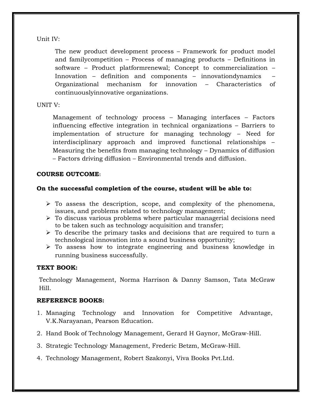Unit IV:

The new product development process – Framework for product model and familycompetition – Process of managing products – Definitions in software – Product platformrenewal; Concept to commercialization – Innovation – definition and components – innovationdynamics – Organizational mechanism for innovation – Characteristics of continuouslyinnovative organizations.

## UNIT V:

Management of technology process – Managing interfaces – Factors influencing effective integration in technical organizations – Barriers to implementation of structure for managing technology – Need for interdisciplinary approach and improved functional relationships – Measuring the benefits from managing technology – Dynamics of diffusion – Factors driving diffusion – Environmental trends and diffusion.

## **COURSE OUTCOME:**

## **On the successful completion of the course, student will be able to:**

- $\triangleright$  To assess the description, scope, and complexity of the phenomena, issues, and problems related to technology management;
- $\triangleright$  To discuss various problems where particular managerial decisions need to be taken such as technology acquisition and transfer;
- $\triangleright$  To describe the primary tasks and decisions that are required to turn a technological innovation into a sound business opportunity;
- $\triangleright$  To assess how to integrate engineering and business knowledge in running business successfully.

## **TEXT BOOK:**

Technology Management, Norma Harrison & Danny Samson, Tata McGraw Hill.

- 1. Managing Technology and Innovation for Competitive Advantage, V.K.Narayanan, Pearson Education.
- 2. Hand Book of Technology Management, Gerard H Gaynor, McGraw-Hill.
- 3. Strategic Technology Management, Frederic Betzm, McGraw-Hill.
- 4. Technology Management, Robert Szakonyi, Viva Books Pvt.Ltd.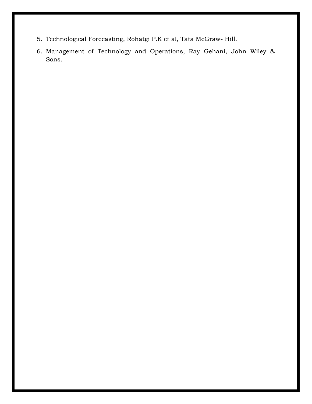- 5. Technological Forecasting, Rohatgi P.K et al, Tata McGraw- Hill.
- 6. Management of Technology and Operations, Ray Gehani, John Wiley & Sons.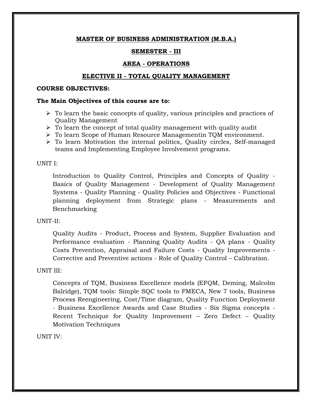## **SEMESTER - III**

## **AREA - OPERATIONS**

## **ELECTIVE II - TOTAL QUALITY MANAGEMENT**

#### **COURSE OBJECTIVES:**

### **The Main Objectives of this course are to:**

- $\triangleright$  To learn the basic concepts of quality, various principles and practices of Quality Management
- $\triangleright$  To learn the concept of total quality management with quality audit
- To learn Scope of Human Resource Managementin TQM environment.
- $\triangleright$  To learn Motivation the internal politics, Quality circles, Self-managed teams and Implementing Employee Involvement programs.

### UNIT I:

Introduction to Quality Control, Principles and Concepts of Quality - Basics of Quality Management - Development of Quality Management Systems - Quality Planning - Quality Policies and Objectives - Functional planning deployment from Strategic plans - Measurements and Benchmarking

### UNIT-II:

Quality Audits - Product, Process and System, Supplier Evaluation and Performance evaluation - Planning Quality Audits - QA plans - Quality Costs Prevention, Appraisal and Failure Costs - Quality Improvements - Corrective and Preventive actions - Role of Quality Control – Calibration.

### UNIT III:

Concepts of TQM, Business Excellence models (EFQM, Deming, Malcolm Balridge), TQM tools: Simple SQC tools to FMECA, New 7 tools, Business Process Reengineering, Cost/Time diagram, Quality Function Deployment - Business Excellence Awards and Case Studies - Six Sigma concepts - Recent Technique for Quality Improvement – Zero Defect – Quality Motivation Techniques

### UNIT IV: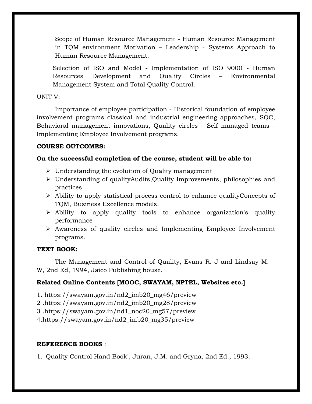Scope of Human Resource Management - Human Resource Management in TQM environment Motivation – Leadership - Systems Approach to Human Resource Management.

Selection of ISO and Model - Implementation of ISO 9000 - Human Resources Development and Quality Circles – Environmental Management System and Total Quality Control.

## UNIT V:

Importance of employee participation - Historical foundation of employee involvement programs classical and industrial engineering approaches, SQC, Behavioral management innovations, Quality circles - Self managed teams - Implementing Employee Involvement programs.

## **COURSE OUTCOMES:**

## **On the successful completion of the course, student will be able to:**

- $\triangleright$  Understanding the evolution of Quality management
- Understanding of qualityAudits,Quality Improvements, philosophies and practices
- Ability to apply statistical process control to enhance qualityConcepts of TQM, Business Excellence models.
- Ability to apply quality tools to enhance organization's quality performance
- Awareness of quality circles and Implementing Employee Involvement programs.

## **TEXT BOOK:**

The Management and Control of Quality, Evans R. J and Lindsay M. W, 2nd Ed, 1994, Jaico Publishing house.

## **Related Online Contents [MOOC, SWAYAM, NPTEL, Websites etc.]**

- 1. https://swayam.gov.in/nd2\_imb20\_mg46/preview
- 2 .https://swayam.gov.in/nd2\_imb20\_mg28/preview
- 3 .https://swayam.gov.in/nd1\_noc20\_mg57/preview
- 4.https://swayam.gov.in/nd2\_imb20\_mg35/preview

## **REFERENCE BOOKS** :

1. Quality Control Hand Book', Juran, J.M. and Gryna, 2nd Ed., 1993.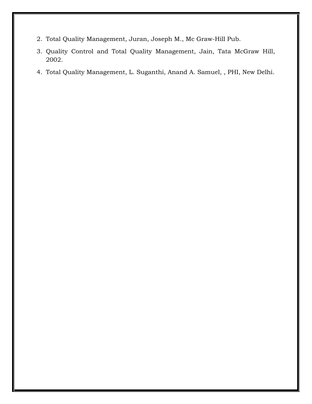- 2. Total Quality Management, Juran, Joseph M., Mc Graw-Hill Pub.
- 3. Quality Control and Total Quality Management, Jain, Tata McGraw Hill, 2002.
- 4. Total Quality Management, L. Suganthi, Anand A. Samuel, , PHI, New Delhi.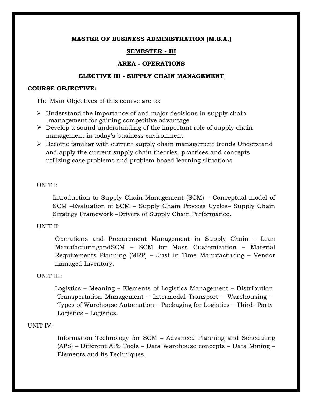## **SEMESTER - III**

## **AREA - OPERATIONS**

## **ELECTIVE III - SUPPLY CHAIN MANAGEMENT**

## **COURSE OBJECTIVE:**

The Main Objectives of this course are to:

- $\triangleright$  Understand the importance of and major decisions in supply chain management for gaining competitive advantage
- $\triangleright$  Develop a sound understanding of the important role of supply chain management in today"s business environment
- $\triangleright$  Become familiar with current supply chain management trends Understand and apply the current supply chain theories, practices and concepts utilizing case problems and problem-based learning situations

## UNIT I:

Introduction to Supply Chain Management (SCM) – Conceptual model of SCM –Evaluation of SCM – Supply Chain Process Cycles– Supply Chain Strategy Framework –Drivers of Supply Chain Performance.

## UNIT II:

Operations and Procurement Management in Supply Chain – Lean ManufacturingandSCM – SCM for Mass Customization – Material Requirements Planning (MRP) – Just in Time Manufacturing – Vendor managed Inventory.

## UNIT III:

Logistics – Meaning – Elements of Logistics Management – Distribution Transportation Management – Intermodal Transport – Warehousing – Types of Warehouse Automation – Packaging for Logistics – Third- Party Logistics – Logistics.

## UNIT IV:

Information Technology for SCM – Advanced Planning and Scheduling (APS) – Different APS Tools – Data Warehouse concepts – Data Mining – Elements and its Techniques.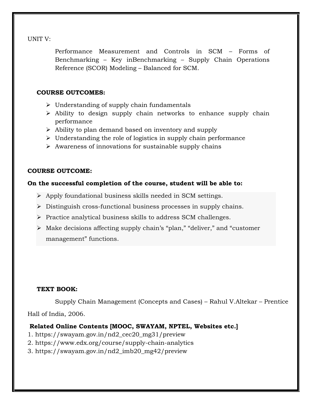UNIT V:

Performance Measurement and Controls in SCM – Forms of Benchmarking – Key inBenchmarking – Supply Chain Operations Reference (SCOR) Modeling – Balanced for SCM.

## **COURSE OUTCOMES:**

- $\triangleright$  Understanding of supply chain fundamentals
- $\triangleright$  Ability to design supply chain networks to enhance supply chain performance
- $\triangleright$  Ability to plan demand based on inventory and supply
- $\triangleright$  Understanding the role of logistics in supply chain performance
- $\triangleright$  Awareness of innovations for sustainable supply chains

## **COURSE OUTCOME:**

## **On the successful completion of the course, student will be able to:**

- $\triangleright$  Apply foundational business skills needed in SCM settings.
- Distinguish cross-functional business processes in supply chains.
- $\triangleright$  Practice analytical business skills to address SCM challenges.
- Make decisions affecting supply chain"s "plan," "deliver," and "customer management" functions.

## **TEXT BOOK:**

Supply Chain Management (Concepts and Cases) – Rahul V.Altekar – Prentice Hall of India, 2006.

## **Related Online Contents [MOOC, SWAYAM, NPTEL, Websites etc.]**

- 1. https://swayam.gov.in/nd2\_cec20\_mg31/preview
- 2. https://www.edx.org/course/supply-chain-analytics
- 3. https://swayam.gov.in/nd2\_imb20\_mg42/preview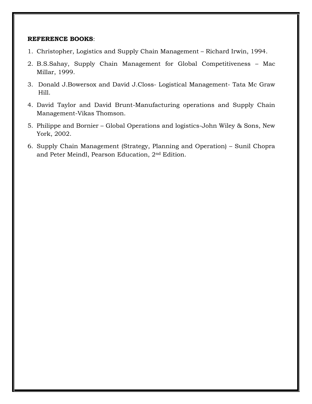- 1. Christopher, Logistics and Supply Chain Management Richard Irwin, 1994.
- 2. B.S.Sahay, Supply Chain Management for Global Competitiveness Mac Millar, 1999.
- 3. Donald J.Bowersox and David J.Closs- Logistical Management- Tata Mc Graw Hill.
- 4. David Taylor and David Brunt-Manufacturing operations and Supply Chain Management-Vikas Thomson.
- 5. Philippe and Bornier Global Operations and logistics-John Wiley & Sons, New York, 2002.
- 6. Supply Chain Management (Strategy, Planning and Operation) Sunil Chopra and Peter Meindl, Pearson Education, 2nd Edition.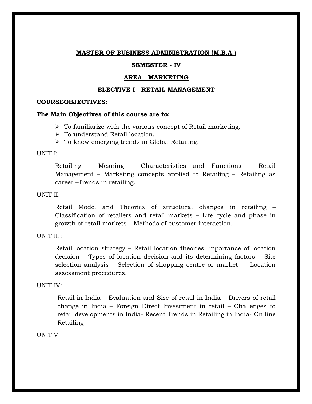### **SEMESTER - IV**

#### **AREA - MARKETING**

#### **ELECTIVE I - RETAIL MANAGEMENT**

#### **COURSEOBJECTIVES:**

#### **The Main Objectives of this course are to:**

- $\triangleright$  To familiarize with the various concept of Retail marketing.
- $\triangleright$  To understand Retail location.
- $\triangleright$  To know emerging trends in Global Retailing.

#### UNIT I:

Retailing – Meaning – Characteristics and Functions – Retail Management – Marketing concepts applied to Retailing – Retailing as career –Trends in retailing.

### UNIT II:

Retail Model and Theories of structural changes in retailing – Classification of retailers and retail markets – Life cycle and phase in growth of retail markets – Methods of customer interaction.

UNIT III:

Retail location strategy – Retail location theories Importance of location decision – Types of location decision and its determining factors – Site selection analysis – Selection of shopping centre or market  $-$  Location assessment procedures.

#### UNIT IV:

Retail in India – Evaluation and Size of retail in India – Drivers of retail change in India – Foreign Direct Investment in retail – Challenges to retail developments in India- Recent Trends in Retailing in India- On line Retailing

UNIT V: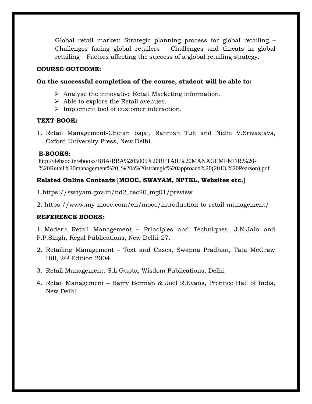Global retail market: Strategic planning process for global retailing – Challenges facing global retailers – Challenges and threats in global retailing – Factors affecting the success of a global retailing strategy.

### **COURSE OUTCOME:**

## **On the successful completion of the course, student will be able to:**

- $\triangleright$  Analyse the innovative Retail Marketing information.
- $\triangleright$  Able to explore the Retail avenues.
- $\triangleright$  Implement tool of customer interaction.

## **TEXT BOOK:**

1. Retail Management-Chetan bajaj, Rahnish Tuli and Nidhi V.Srivastava, Oxford University Press, New Delhi.

## **E-BOOKS:**

http://debsoc.in/ebooks/BBA/BBA%205005%20RETAIL%20MANAGEMENT/R.%20- %20Retail%20management%20\_%20a%20strategic%20approach%20(2013,%20Pearson).pdf

# **Related Online Contents [MOOC, SWAYAM, NPTEL, Websites etc.]**

- 1.https://swayam.gov.in/nd2\_cec20\_mg01/preview
- 2. https://www.my-mooc.com/en/mooc/introduction-to-retail-management/

# **REFERENCE BOOKS:**

1. Modern Retail Management – Principles and Techniques, J.N.Jain and P.P.Singh, Regal Publications, New Delhi-27.

- 2. Retailing Management Text and Cases, Swapna Pradhan, Tata McGraw Hill, 2nd Edition 2004.
- 3. Retail Management, S.L.Gupta, Wisdom Publications, Delhi.
- 4. Retail Management Barry Berman & Joel R.Evans, Prentice Hall of India, New Delhi.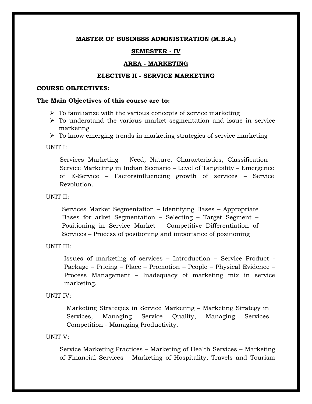#### **SEMESTER - IV**

#### **AREA - MARKETING**

#### **ELECTIVE II - SERVICE MARKETING**

#### **COURSE OBJECTIVES:**

#### **The Main Objectives of this course are to:**

- $\triangleright$  To familiarize with the various concepts of service marketing
- $\triangleright$  To understand the various market segmentation and issue in service marketing
- $\triangleright$  To know emerging trends in marketing strategies of service marketing

UNIT I:

Services Marketing – Need, Nature, Characteristics, Classification - Service Marketing in Indian Scenario – Level of Tangibility – Emergence of E-Service – Factorsinfluencing growth of services – Service Revolution.

UNIT II:

Services Market Segmentation – Identifying Bases – Appropriate Bases for arket Segmentation – Selecting – Target Segment – Positioning in Service Market – Competitive Differentiation of Services – Process of positioning and importance of positioning

UNIT III:

Issues of marketing of services – Introduction – Service Product - Package – Pricing – Place – Promotion – People – Physical Evidence – Process Management – Inadequacy of marketing mix in service marketing.

UNIT IV:

Marketing Strategies in Service Marketing – Marketing Strategy in Services, Managing Service Quality, Managing Services Competition - Managing Productivity.

UNIT V:

Service Marketing Practices – Marketing of Health Services – Marketing of Financial Services - Marketing of Hospitality, Travels and Tourism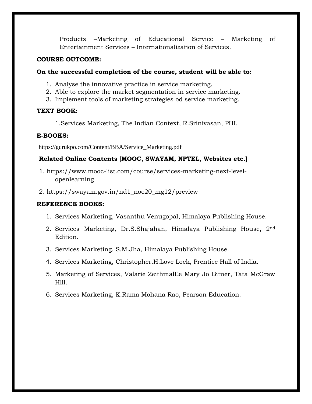Products –Marketing of Educational Service – Marketing of Entertainment Services – Internationalization of Services.

### **COURSE OUTCOME:**

## **On the successful completion of the course, student will be able to:**

- 1. Analyse the innovative practice in service marketing.
- 2. Able to explore the market segmentation in service marketing.
- 3. Implement tools of marketing strategies od service marketing.

### **TEXT BOOK:**

1.Services Marketing, The Indian Context, R.Srinivasan, PHI.

## **E-BOOKS:**

https://gurukpo.com/Content/BBA/Service\_Marketing.pdf

## **Related Online Contents [MOOC, SWAYAM, NPTEL, Websites etc.]**

- 1. https://www.mooc-list.com/course/services-marketing-next-levelopenlearning
- 2. https://swayam.gov.in/nd1\_noc20\_mg12/preview

- 1. Services Marketing, Vasanthu Venugopal, Himalaya Publishing House.
- 2. Services Marketing, Dr.S.Shajahan, Himalaya Publishing House, 2<sup>nd</sup> Edition.
- 3. Services Marketing, S.M.Jha, Himalaya Publishing House.
- 4. Services Marketing, Christopher.H.Love Lock, Prentice Hall of India.
- 5. Marketing of Services, Valarie ZeithmalEe Mary Jo Bitner, Tata McGraw Hill.
- 6. Services Marketing, K.Rama Mohana Rao, Pearson Education.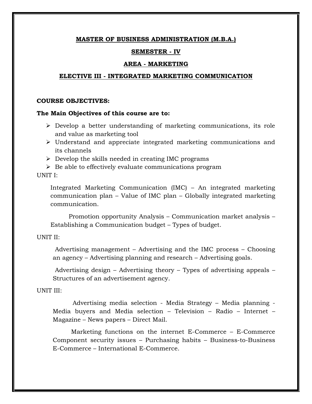### **SEMESTER - IV**

### **AREA - MARKETING**

#### **ELECTIVE III - INTEGRATED MARKETING COMMUNICATION**

#### **COURSE OBJECTIVES:**

#### **The Main Objectives of this course are to:**

- $\triangleright$  Develop a better understanding of marketing communications, its role and value as marketing tool
- Understand and appreciate integrated marketing communications and its channels
- $\triangleright$  Develop the skills needed in creating IMC programs
- $\triangleright$  Be able to effectively evaluate communications program

UNIT I:

Integrated Marketing Communication (IMC) – An integrated marketing communication plan – Value of IMC plan – Globally integrated marketing communication.

Promotion opportunity Analysis – Communication market analysis – Establishing a Communication budget – Types of budget.

### UNIT II:

Advertising management – Advertising and the IMC process – Choosing an agency – Advertising planning and research – Advertising goals.

Advertising design – Advertising theory – Types of advertising appeals – Structures of an advertisement agency.

#### UNIT III:

Advertising media selection - Media Strategy – Media planning - Media buyers and Media selection – Television – Radio – Internet – Magazine – News papers – Direct Mail.

Marketing functions on the internet E-Commerce – E-Commerce Component security issues – Purchasing habits – Business-to-Business E-Commerce – International E-Commerce.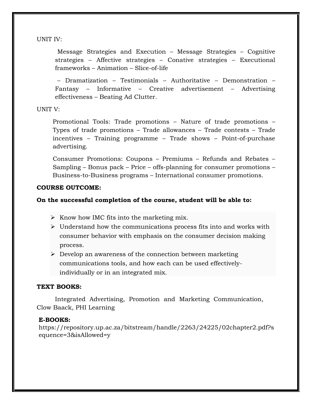UNIT IV:

Message Strategies and Execution – Message Strategies – Cognitive strategies – Affective strategies – Conative strategies – Executional frameworks – Animation – Slice-of-life

– Dramatization – Testimonials – Authoritative – Demonstration – Fantasy – Informative – Creative advertisement – Advertising effectiveness – Beating Ad Clutter.

UNIT V:

Promotional Tools: Trade promotions – Nature of trade promotions – Types of trade promotions – Trade allowances – Trade contests – Trade incentives – Training programme – Trade shows – Point-of-purchase advertising.

Consumer Promotions: Coupons – Premiums – Refunds and Rebates – Sampling – Bonus pack – Price – offs-planning for consumer promotions – Business-to-Business programs – International consumer promotions.

## **COURSE OUTCOME:**

# **On the successful completion of the course, student will be able to:**

- $\triangleright$  Know how IMC fits into the marketing mix.
- $\triangleright$  Understand how the communications process fits into and works with consumer behavior with emphasis on the consumer decision making process.
- $\triangleright$  Develop an awareness of the connection between marketing communications tools, and how each can be used effectivelyindividually or in an integrated mix.

# **TEXT BOOKS:**

Integrated Advertising, Promotion and Marketing Communication, Clow Baack, PHI Learning

# **E-BOOKS:**

https://repository.up.ac.za/bitstream/handle/2263/24225/02chapter2.pdf?s equence=3&isAllowed=y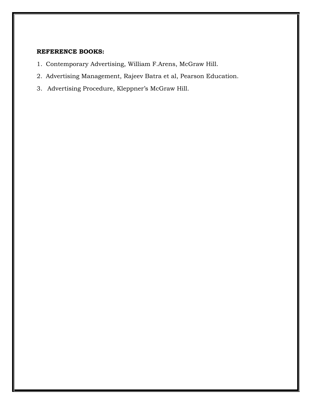- 1. Contemporary Advertising, William F.Arens, McGraw Hill.
- 2. Advertising Management, Rajeev Batra et al, Pearson Education.
- 3. Advertising Procedure, Kleppner's McGraw Hill.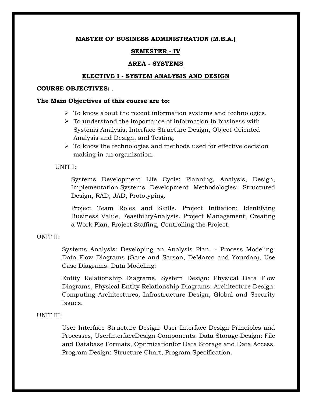### **SEMESTER - IV**

### **AREA - SYSTEMS**

#### **ELECTIVE I - SYSTEM ANALYSIS AND DESIGN**

#### **COURSE OBJECTIVES:** .

### **The Main Objectives of this course are to:**

- $\triangleright$  To know about the recent information systems and technologies.
- $\triangleright$  To understand the importance of information in business with Systems Analysis, Interface Structure Design, Object-Oriented Analysis and Design, and Testing.
- $\triangleright$  To know the technologies and methods used for effective decision making in an organization.

#### UNIT I:

Systems Development Life Cycle: Planning, Analysis, Design, Implementation.Systems Development Methodologies: Structured Design, RAD, JAD, Prototyping.

Project Team Roles and Skills. Project Initiation: Identifying Business Value, FeasibilityAnalysis. Project Management: Creating a Work Plan, Project Staffing, Controlling the Project.

UNIT II:

Systems Analysis: Developing an Analysis Plan. - Process Modeling: Data Flow Diagrams (Gane and Sarson, DeMarco and Yourdan), Use Case Diagrams. Data Modeling:

Entity Relationship Diagrams. System Design: Physical Data Flow Diagrams, Physical Entity Relationship Diagrams. Architecture Design: Computing Architectures, Infrastructure Design, Global and Security Issues.

### UNIT III:

User Interface Structure Design: User Interface Design Principles and Processes, UserInterfaceDesign Components. Data Storage Design: File and Database Formats, Optimizationfor Data Storage and Data Access. Program Design: Structure Chart, Program Specification.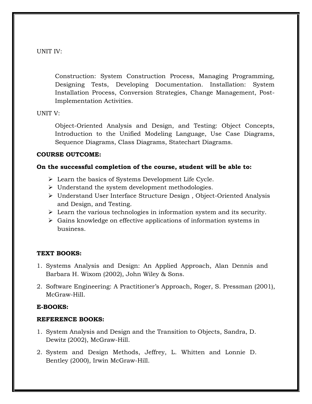UNIT IV:

Construction: System Construction Process, Managing Programming, Designing Tests, Developing Documentation. Installation: System Installation Process, Conversion Strategies, Change Management, Post-Implementation Activities.

## UNIT V:

Object-Oriented Analysis and Design, and Testing: Object Concepts, Introduction to the Unified Modeling Language, Use Case Diagrams, Sequence Diagrams, Class Diagrams, Statechart Diagrams.

# **COURSE OUTCOME:**

# **On the successful completion of the course, student will be able to:**

- $\triangleright$  Learn the basics of Systems Development Life Cycle.
- $\triangleright$  Understand the system development methodologies.
- Understand User Interface Structure Design , Object-Oriented Analysis and Design, and Testing.
- $\triangleright$  Learn the various technologies in information system and its security.
- $\triangleright$  Gains knowledge on effective applications of information systems in business.

# **TEXT BOOKS:**

- 1. Systems Analysis and Design: An Applied Approach, Alan Dennis and Barbara H. Wixom (2002), John Wiley & Sons.
- 2. Software Engineering: A Practitioner"s Approach, Roger, S. Pressman (2001), McGraw-Hill.

# **E-BOOKS:**

- 1. System Analysis and Design and the Transition to Objects, Sandra, D. Dewitz (2002), McGraw-Hill.
- 2. System and Design Methods, Jeffrey, L. Whitten and Lonnie D. Bentley (2000), Irwin McGraw-Hill.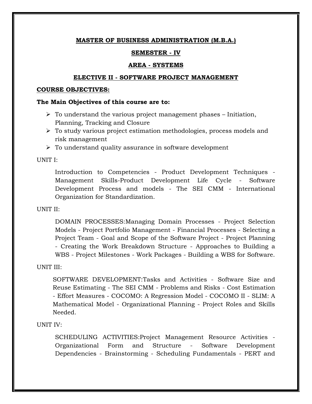## **SEMESTER - IV**

## **AREA - SYSTEMS**

### **ELECTIVE II - SOFTWARE PROJECT MANAGEMENT**

### **COURSE OBJECTIVES:**

### **The Main Objectives of this course are to:**

- $\triangleright$  To understand the various project management phases Initiation, Planning, Tracking and Closure
- $\triangleright$  To study various project estimation methodologies, process models and risk management
- $\triangleright$  To understand quality assurance in software development

UNIT I:

Introduction to Competencies - Product Development Techniques - Management Skills-Product Development Life Cycle - Software Development Process and models - The SEI CMM - International Organization for Standardization.

UNIT II:

DOMAIN PROCESSES:Managing Domain Processes - Project Selection Models - Project Portfolio Management - Financial Processes - Selecting a Project Team - Goal and Scope of the Software Project - Project Planning - Creating the Work Breakdown Structure - Approaches to Building a WBS - Project Milestones - Work Packages - Building a WBS for Software.

## UNIT III:

SOFTWARE DEVELOPMENT:Tasks and Activities - Software Size and Reuse Estimating - The SEI CMM - Problems and Risks - Cost Estimation - Effort Measures - COCOMO: A Regression Model - COCOMO II - SLIM: A Mathematical Model - Organizational Planning - Project Roles and Skills Needed.

## UNIT IV:

SCHEDULING ACTIVITIES:Project Management Resource Activities - Organizational Form and Structure - Software Development Dependencies - Brainstorming - Scheduling Fundamentals - PERT and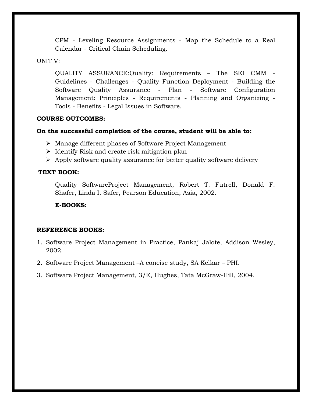CPM - Leveling Resource Assignments - Map the Schedule to a Real Calendar - Critical Chain Scheduling.

## UNIT V:

QUALITY ASSURANCE:Quality: Requirements – The SEI CMM - Guidelines - Challenges - Quality Function Deployment - Building the Software Quality Assurance - Plan - Software Configuration Management: Principles - Requirements - Planning and Organizing - Tools - Benefits - Legal Issues in Software.

## **COURSE OUTCOMES:**

## **On the successful completion of the course, student will be able to:**

- Manage different phases of Software Project Management
- $\triangleright$  Identify Risk and create risk mitigation plan
- $\triangleright$  Apply software quality assurance for better quality software delivery

## **TEXT BOOK:**

Quality SoftwareProject Management, Robert T. Futrell, Donald F. Shafer, Linda I. Safer, Pearson Education, Asia, 2002.

## **E-BOOKS:**

- 1. Software Project Management in Practice, Pankaj Jalote, Addison Wesley, 2002.
- 2. Software Project Management –A concise study, SA Kelkar PHI.
- 3. Software Project Management, 3/E, Hughes, Tata McGraw-Hill, 2004.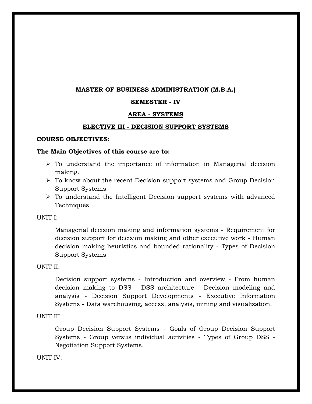## **SEMESTER - IV**

## **AREA - SYSTEMS**

### **ELECTIVE III - DECISION SUPPORT SYSTEMS**

### **COURSE OBJECTIVES:**

### **The Main Objectives of this course are to:**

- $\triangleright$  To understand the importance of information in Managerial decision making.
- $\triangleright$  To know about the recent Decision support systems and Group Decision Support Systems
- $\triangleright$  To understand the Intelligent Decision support systems with advanced Techniques

UNIT I:

Managerial decision making and information systems - Requirement for decision support for decision making and other executive work - Human decision making heuristics and bounded rationality - Types of Decision Support Systems

### UNIT II:

Decision support systems - Introduction and overview - From human decision making to DSS - DSS architecture - Decision modeling and analysis - Decision Support Developments - Executive Information Systems - Data warehousing, access, analysis, mining and visualization.

## UNIT III:

Group Decision Support Systems - Goals of Group Decision Support Systems - Group versus individual activities - Types of Group DSS - Negotiation Support Systems.

UNIT IV: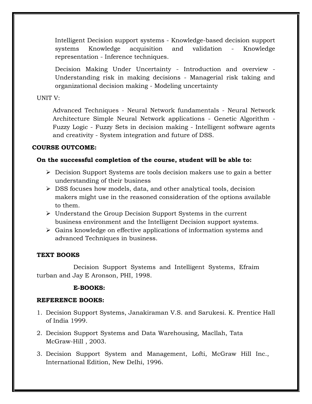Intelligent Decision support systems - Knowledge-based decision support systems Knowledge acquisition and validation - Knowledge representation - Inference techniques.

Decision Making Under Uncertainty - Introduction and overview - Understanding risk in making decisions - Managerial risk taking and organizational decision making - Modeling uncertainty

## UNIT V:

Advanced Techniques - Neural Network fundamentals - Neural Network Architecture Simple Neural Network applications - Genetic Algorithm - Fuzzy Logic - Fuzzy Sets in decision making - Intelligent software agents and creativity - System integration and future of DSS.

# **COURSE OUTCOME:**

# **On the successful completion of the course, student will be able to:**

- $\triangleright$  Decision Support Systems are tools decision makers use to gain a better understanding of their business
- $\triangleright$  DSS focuses how models, data, and other analytical tools, decision makers might use in the reasoned consideration of the options available to them.
- $\triangleright$  Understand the Group Decision Support Systems in the current business environment and the Intelligent Decision support systems.
- $\triangleright$  Gains knowledge on effective applications of information systems and advanced Techniques in business.

# **TEXT BOOKS**

Decision Support Systems and Intelligent Systems, Efraim turban and Jay E Aronson, PHI, 1998.

## **E-BOOKS:**

- 1. Decision Support Systems, Janakiraman V.S. and Sarukesi. K. Prentice Hall of India 1999.
- 2. Decision Support Systems and Data Warehousing, Macllah, Tata McGraw-Hill , 2003.
- 3. Decision Support System and Management, Lofti, McGraw Hill Inc., International Edition, New Delhi, 1996.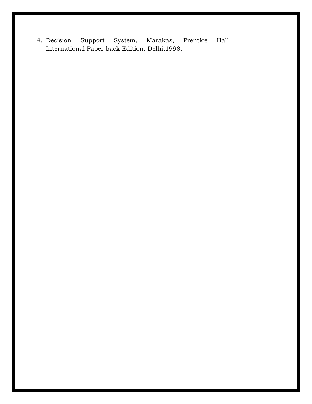4. Decision Support System, Marakas, Prentice Hall International Paper back Edition, Delhi,1998.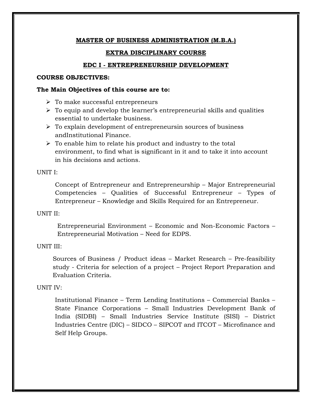## **EXTRA DISCIPLINARY COURSE**

## **EDC I - ENTREPRENEURSHIP DEVELOPMENT**

### **COURSE OBJECTIVES:**

### **The Main Objectives of this course are to:**

- $\triangleright$  To make successful entrepreneurs
- $\triangleright$  To equip and develop the learner's entrepreneurial skills and qualities essential to undertake business.
- $\triangleright$  To explain development of entrepreneursin sources of business andInstitutional Finance.
- $\triangleright$  To enable him to relate his product and industry to the total environment, to find what is significant in it and to take it into account in his decisions and actions.

## UNIT I:

Concept of Entrepreneur and Entrepreneurship – Major Entrepreneurial Competencies – Qualities of Successful Entrepreneur – Types of Entrepreneur – Knowledge and Skills Required for an Entrepreneur.

## UNIT II:

Entrepreneurial Environment – Economic and Non-Economic Factors – Entrepreneurial Motivation – Need for EDPS.

## UNIT III:

Sources of Business / Product ideas – Market Research – Pre-feasibility study - Criteria for selection of a project – Project Report Preparation and Evaluation Criteria.

## UNIT IV:

Institutional Finance – Term Lending Institutions – Commercial Banks – State Finance Corporations – Small Industries Development Bank of India (SIDBI) – Small Industries Service Institute (SISI) – District Industries Centre (DIC) – SIDCO – SIPCOT and ITCOT – Microfinance and Self Help Groups.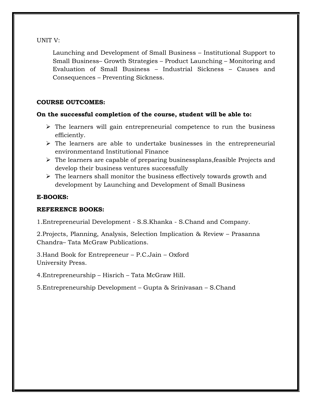UNIT V:

Launching and Development of Small Business – Institutional Support to Small Business– Growth Strategies – Product Launching – Monitoring and Evaluation of Small Business – Industrial Sickness – Causes and Consequences – Preventing Sickness.

# **COURSE OUTCOMES:**

# **On the successful completion of the course, student will be able to:**

- $\triangleright$  The learners will gain entrepreneurial competence to run the business efficiently.
- $\triangleright$  The learners are able to undertake businesses in the entrepreneurial environmentand Institutional Finance
- $\triangleright$  The learners are capable of preparing businessplans, feasible Projects and develop their business ventures successfully
- $\triangleright$  The learners shall monitor the business effectively towards growth and development by Launching and Development of Small Business

# **E-BOOKS:**

# **REFERENCE BOOKS:**

1.Entrepreneurial Development - S.S.Khanka - S.Chand and Company.

2.Projects, Planning, Analysis, Selection Implication & Review – Prasanna Chandra– Tata McGraw Publications.

3.Hand Book for Entrepreneur – P.C.Jain – Oxford University Press.

4.Entrepreneurship – Hisrich – Tata McGraw Hill.

5.Entrepreneurship Development – Gupta & Srinivasan – S.Chand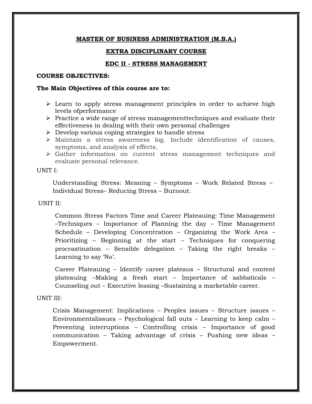### **EXTRA DISCIPLINARY COURSE**

### **EDC II - STRESS MANAGEMENT**

#### **COURSE OBJECTIVES:**

#### **The Main Objectives of this course are to:**

- $\triangleright$  Learn to apply stress management principles in order to achieve high levels ofperformance
- $\triangleright$  Practice a wide range of stress managementtechniques and evaluate their effectiveness in dealing with their own personal challenges
- $\triangleright$  Develop various coping strategies to handle stress
- Maintain a stress awareness log. Include identification of causes, symptoms, and analysis of effects.
- Gather information on current stress management techniques and evaluate personal relevance.

#### UNIT I:

Understanding Stress: Meaning – Symptoms – Work Related Stress – Individual Stress– Reducing Stress – Burnout.

#### UNIT II:

Common Stress Factors Time and Career Plateauing: Time Management –Techniques – Importance of Planning the day – Time Management Schedule – Developing Concentration – Organizing the Work Area – Prioritizing – Beginning at the start – Techniques for conquering procrastination – Sensible delegation – Taking the right breaks – Learning to say 'No'.

Career Plateauing – Identify career plateaus – Structural and content plateauing –Making a fresh start – Importance of sabbaticals – Counseling out – Executive leasing –Sustaining a marketable career.

#### UNIT III:

Crisis Management: Implications – Peoples issues – Structure issues – Environmentalissues – Psychological fall outs – Learning to keep calm – Preventing interruptions – Controlling crisis – Importance of good communication – Taking advantage of crisis – Pushing new ideas – Empowerment.